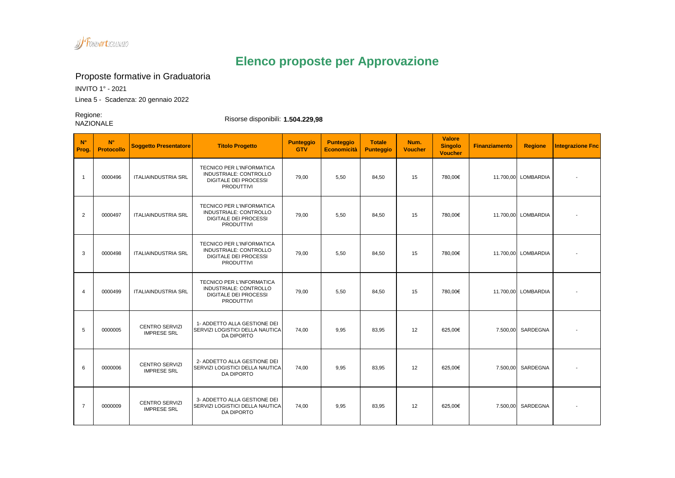

## **Elenco proposte per Approvazione**

Proposte formative in Graduatoria

INVITO 1° - 2021

Linea 5 - Scadenza: 20 gennaio 2022

Regione:<br>NAZIONALE

Risorse disponibili: **1.504.229,98** 

| $N^{\circ}$<br>Prog. | $N^{\circ}$<br>Protocollo | <b>Soggetto Presentatore</b>                | <b>Titolo Progetto</b>                                                                                          | <b>Punteggio</b><br><b>GTV</b> | <b>Punteggio</b><br><b>Economicità</b> | <b>Totale</b><br><b>Punteggio</b> | Num.<br><b>Voucher</b> | <b>Valore</b><br><b>Singolo</b><br><b>Voucher</b> | <b>Finanziamento</b> | <b>Regione</b>      | <b>Integrazione Fnc</b> |
|----------------------|---------------------------|---------------------------------------------|-----------------------------------------------------------------------------------------------------------------|--------------------------------|----------------------------------------|-----------------------------------|------------------------|---------------------------------------------------|----------------------|---------------------|-------------------------|
| $\overline{1}$       | 0000496                   | <b>ITALIAINDUSTRIA SRL</b>                  | TECNICO PER L'INFORMATICA<br>INDUSTRIALE: CONTROLLO<br><b>DIGITALE DEI PROCESSI</b><br><b>PRODUTTIVI</b>        | 79.00                          | 5.50                                   | 84,50                             | 15                     | 780.00€                                           |                      | 11.700,00 LOMBARDIA |                         |
| $\overline{2}$       | 0000497                   | <b>ITALIAINDUSTRIA SRL</b>                  | <b>TECNICO PER L'INFORMATICA</b><br>INDUSTRIALE: CONTROLLO<br><b>DIGITALE DEI PROCESSI</b><br><b>PRODUTTIVI</b> | 79.00                          | 5.50                                   | 84,50                             | 15                     | 780.00€                                           |                      | 11.700,00 LOMBARDIA |                         |
| 3                    | 0000498                   | <b>ITALIAINDUSTRIA SRL</b>                  | <b>TECNICO PER L'INFORMATICA</b><br>INDUSTRIALE: CONTROLLO<br><b>DIGITALE DEI PROCESSI</b><br>PRODUTTIVI        | 79,00                          | 5,50                                   | 84,50                             | 15                     | 780,00€                                           |                      | 11.700,00 LOMBARDIA |                         |
| $\overline{4}$       | 0000499                   | <b>ITALIAINDUSTRIA SRL</b>                  | TECNICO PER L'INFORMATICA<br>INDUSTRIALE: CONTROLLO<br><b>DIGITALE DEI PROCESSI</b><br>PRODUTTIVI               | 79,00                          | 5,50                                   | 84,50                             | 15                     | 780,00€                                           |                      | 11.700,00 LOMBARDIA |                         |
| 5                    | 0000005                   | <b>CENTRO SERVIZI</b><br><b>IMPRESE SRL</b> | 1- ADDETTO ALLA GESTIONE DEI<br>SERVIZI LOGISTICI DELLA NAUTICA<br><b>DA DIPORTO</b>                            | 74,00                          | 9,95                                   | 83,95                             | 12                     | 625,00€                                           | 7.500,00             | SARDEGNA            |                         |
| 6                    | 0000006                   | <b>CENTRO SERVIZI</b><br><b>IMPRESE SRL</b> | 2- ADDETTO ALLA GESTIONE DEI<br>SERVIZI LOGISTICI DELLA NAUTICA<br><b>DA DIPORTO</b>                            | 74,00                          | 9,95                                   | 83,95                             | 12                     | 625,00€                                           | 7.500,00             | SARDEGNA            |                         |
| $\overline{7}$       | 0000009                   | <b>CENTRO SERVIZI</b><br><b>IMPRESE SRL</b> | 3- ADDETTO ALLA GESTIONE DEI<br>SERVIZI LOGISTICI DELLA NAUTICA<br>DA DIPORTO                                   | 74,00                          | 9,95                                   | 83,95                             | 12                     | 625,00€                                           | 7.500,00             | SARDEGNA            |                         |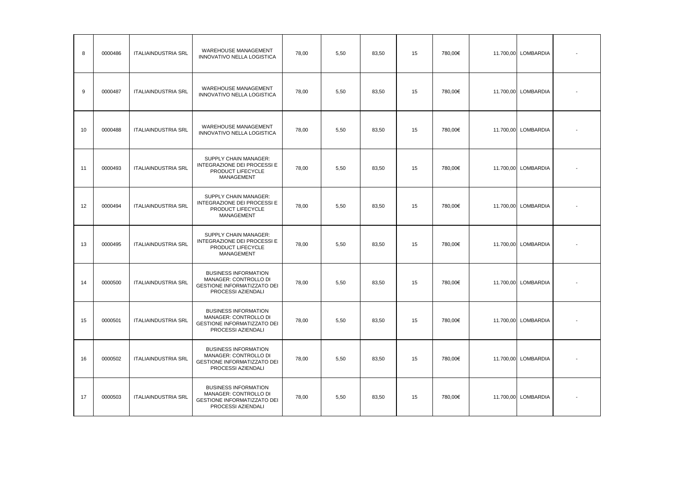| 8  | 0000486 | <b>ITALIAINDUSTRIA SRL</b> | WAREHOUSE MANAGEMENT<br>INNOVATIVO NELLA LOGISTICA                                                               | 78.00 | 5,50 | 83,50 | 15 | 780,00€ |           | 11.700,00 LOMBARDIA |  |
|----|---------|----------------------------|------------------------------------------------------------------------------------------------------------------|-------|------|-------|----|---------|-----------|---------------------|--|
| 9  | 0000487 | <b>ITALIAINDUSTRIA SRL</b> | WAREHOUSE MANAGEMENT<br>INNOVATIVO NELLA LOGISTICA                                                               | 78,00 | 5,50 | 83,50 | 15 | 780,00€ |           | 11.700,00 LOMBARDIA |  |
| 10 | 0000488 | <b>ITALIAINDUSTRIA SRL</b> | WAREHOUSE MANAGEMENT<br>INNOVATIVO NELLA LOGISTICA                                                               | 78,00 | 5,50 | 83,50 | 15 | 780,00€ | 11.700,00 | LOMBARDIA           |  |
| 11 | 0000493 | <b>ITALIAINDUSTRIA SRL</b> | SUPPLY CHAIN MANAGER:<br>INTEGRAZIONE DEI PROCESSI E<br>PRODUCT LIFECYCLE<br>MANAGEMENT                          | 78,00 | 5,50 | 83,50 | 15 | 780,00€ |           | 11.700,00 LOMBARDIA |  |
| 12 | 0000494 | <b>ITALIAINDUSTRIA SRL</b> | SUPPLY CHAIN MANAGER:<br>INTEGRAZIONE DEI PROCESSI E<br>PRODUCT LIFECYCLE<br>MANAGEMENT                          | 78,00 | 5,50 | 83,50 | 15 | 780,00€ |           | 11.700,00 LOMBARDIA |  |
| 13 | 0000495 | <b>ITALIAINDUSTRIA SRL</b> | SUPPLY CHAIN MANAGER:<br>INTEGRAZIONE DEI PROCESSI E<br>PRODUCT LIFECYCLE<br>MANAGEMENT                          | 78,00 | 5,50 | 83,50 | 15 | 780,00€ |           | 11.700,00 LOMBARDIA |  |
| 14 | 0000500 | <b>ITALIAINDUSTRIA SRL</b> | <b>BUSINESS INFORMATION</b><br>MANAGER: CONTROLLO DI<br><b>GESTIONE INFORMATIZZATO DEI</b><br>PROCESSI AZIENDALI | 78,00 | 5,50 | 83,50 | 15 | 780,00€ |           | 11.700,00 LOMBARDIA |  |
| 15 | 0000501 | <b>ITALIAINDUSTRIA SRL</b> | <b>BUSINESS INFORMATION</b><br>MANAGER: CONTROLLO DI<br><b>GESTIONE INFORMATIZZATO DEI</b><br>PROCESSI AZIENDALI | 78,00 | 5,50 | 83,50 | 15 | 780,00€ |           | 11.700,00 LOMBARDIA |  |
| 16 | 0000502 | <b>ITALIAINDUSTRIA SRL</b> | <b>BUSINESS INFORMATION</b><br>MANAGER: CONTROLLO DI<br><b>GESTIONE INFORMATIZZATO DEI</b><br>PROCESSI AZIENDALI | 78.00 | 5,50 | 83.50 | 15 | 780.00€ |           | 11.700,00 LOMBARDIA |  |
| 17 | 0000503 | <b>ITALIAINDUSTRIA SRL</b> | <b>BUSINESS INFORMATION</b><br>MANAGER: CONTROLLO DI<br><b>GESTIONE INFORMATIZZATO DEI</b><br>PROCESSI AZIENDALI | 78,00 | 5,50 | 83.50 | 15 | 780.00€ |           | 11.700,00 LOMBARDIA |  |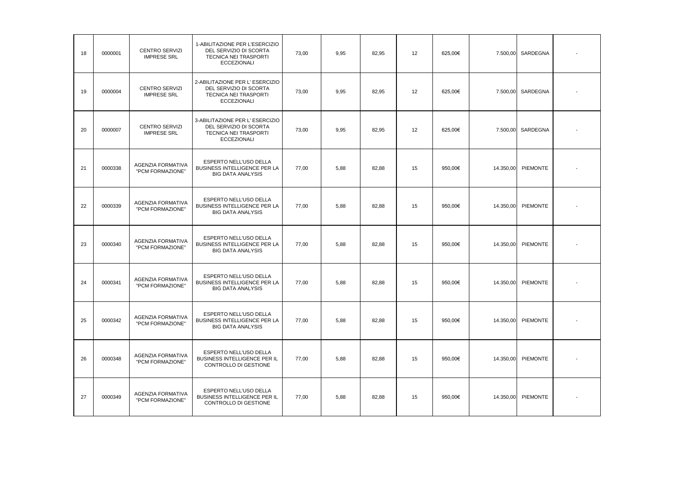| 18 | 0000001 | <b>CENTRO SERVIZI</b><br><b>IMPRESE SRL</b>  | 1-ABILITAZIONE PER L'ESERCIZIO<br>DEL SERVIZIO DI SCORTA<br><b>TECNICA NEI TRASPORTI</b><br><b>ECCEZIONALI</b> | 73,00 | 9,95 | 82,95 | 12 | 625,00€ | 7.500,00  | SARDEGNA        |  |
|----|---------|----------------------------------------------|----------------------------------------------------------------------------------------------------------------|-------|------|-------|----|---------|-----------|-----------------|--|
| 19 | 0000004 | <b>CENTRO SERVIZI</b><br><b>IMPRESE SRL</b>  | 2-ABILITAZIONE PER L'ESERCIZIO<br>DEL SERVIZIO DI SCORTA<br>TECNICA NEI TRASPORTI<br><b>ECCEZIONALI</b>        | 73,00 | 9,95 | 82,95 | 12 | 625,00€ | 7.500,00  | SARDEGNA        |  |
| 20 | 0000007 | <b>CENTRO SERVIZI</b><br><b>IMPRESE SRL</b>  | 3-ABILITAZIONE PER L'ESERCIZIO<br>DEL SERVIZIO DI SCORTA<br>TECNICA NEI TRASPORTI<br><b>ECCEZIONALI</b>        | 73,00 | 9,95 | 82,95 | 12 | 625,00€ | 7.500,00  | SARDEGNA        |  |
| 21 | 0000338 | AGENZIA FORMATIVA<br>"PCM FORMAZIONE"        | ESPERTO NELL'USO DELLA<br>BUSINESS INTELLIGENCE PER LA<br><b>BIG DATA ANALYSIS</b>                             | 77,00 | 5,88 | 82,88 | 15 | 950,00€ | 14.350,00 | PIEMONTE        |  |
| 22 | 0000339 | AGENZIA FORMATIVA<br>"PCM FORMAZIONE"        | ESPERTO NELL'USO DELLA<br><b>BUSINESS INTELLIGENCE PER LA</b><br><b>BIG DATA ANALYSIS</b>                      | 77,00 | 5,88 | 82,88 | 15 | 950,00€ | 14.350,00 | PIEMONTE        |  |
| 23 | 0000340 | <b>AGENZIA FORMATIVA</b><br>"PCM FORMAZIONE" | ESPERTO NELL'USO DELLA<br>BUSINESS INTELLIGENCE PER LA<br><b>BIG DATA ANALYSIS</b>                             | 77,00 | 5.88 | 82.88 | 15 | 950.00€ | 14.350,00 | <b>PIEMONTE</b> |  |
| 24 | 0000341 | AGENZIA FORMATIVA<br>"PCM FORMAZIONE"        | ESPERTO NELL'USO DELLA<br><b>BUSINESS INTELLIGENCE PER LA</b><br><b>BIG DATA ANALYSIS</b>                      | 77,00 | 5,88 | 82,88 | 15 | 950,00€ | 14.350,00 | PIEMONTE        |  |
| 25 | 0000342 | AGENZIA FORMATIVA<br>"PCM FORMAZIONE"        | ESPERTO NELL'USO DELLA<br><b>BUSINESS INTELLIGENCE PER LA</b><br><b>BIG DATA ANALYSIS</b>                      | 77,00 | 5,88 | 82,88 | 15 | 950.00€ | 14.350,00 | PIEMONTE        |  |
| 26 | 0000348 | AGENZIA FORMATIVA<br>"PCM FORMAZIONE"        | ESPERTO NELL'USO DELLA<br>BUSINESS INTELLIGENCE PER IL<br>CONTROLLO DI GESTIONE                                | 77,00 | 5,88 | 82,88 | 15 | 950,00€ | 14.350,00 | PIEMONTE        |  |
| 27 | 0000349 | <b>AGENZIA FORMATIVA</b><br>"PCM FORMAZIONE" | ESPERTO NELL'USO DELLA<br>BUSINESS INTELLIGENCE PER IL<br>CONTROLLO DI GESTIONE                                | 77,00 | 5.88 | 82,88 | 15 | 950,00€ | 14.350,00 | PIEMONTE        |  |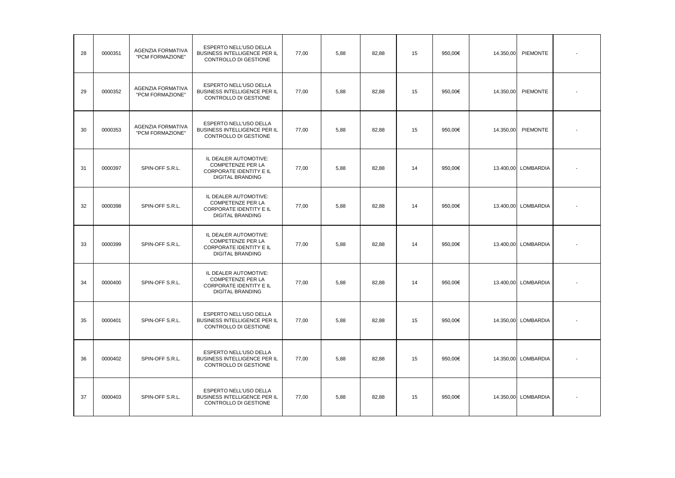| 28 | 0000351 | <b>AGENZIA FORMATIVA</b><br>"PCM FORMAZIONE" | ESPERTO NELL'USO DELLA<br>BUSINESS INTELLIGENCE PER IL<br>CONTROLLO DI GESTIONE                  | 77,00 | 5,88 | 82.88 | 15 | 950.00€ | 14.350,00 | <b>PIEMONTE</b>     |  |
|----|---------|----------------------------------------------|--------------------------------------------------------------------------------------------------|-------|------|-------|----|---------|-----------|---------------------|--|
| 29 | 0000352 | <b>AGENZIA FORMATIVA</b><br>"PCM FORMAZIONE" | <b>ESPERTO NELL'USO DELLA</b><br><b>BUSINESS INTELLIGENCE PER IL</b><br>CONTROLLO DI GESTIONE    | 77,00 | 5.88 | 82.88 | 15 | 950.00€ | 14.350,00 | <b>PIEMONTE</b>     |  |
| 30 | 0000353 | AGENZIA FORMATIVA<br>"PCM FORMAZIONE"        | ESPERTO NELL'USO DELLA<br><b>BUSINESS INTELLIGENCE PER IL</b><br>CONTROLLO DI GESTIONE           | 77,00 | 5,88 | 82.88 | 15 | 950.00€ | 14.350,00 | <b>PIEMONTE</b>     |  |
| 31 | 0000397 | SPIN-OFF S.R.L.                              | IL DEALER AUTOMOTIVE:<br>COMPETENZE PER LA<br>CORPORATE IDENTITY E IL<br><b>DIGITAL BRANDING</b> | 77.00 | 5.88 | 82.88 | 14 | 950.00€ |           | 13.400,00 LOMBARDIA |  |
| 32 | 0000398 | SPIN-OFF S.R.L.                              | IL DEALER AUTOMOTIVE:<br>COMPETENZE PER LA<br>CORPORATE IDENTITY E IL<br><b>DIGITAL BRANDING</b> | 77.00 | 5,88 | 82,88 | 14 | 950.00€ |           | 13.400,00 LOMBARDIA |  |
| 33 | 0000399 | SPIN-OFF S.R.L.                              | IL DEALER AUTOMOTIVE:<br>COMPETENZE PER LA<br>CORPORATE IDENTITY E IL<br><b>DIGITAL BRANDING</b> | 77,00 | 5.88 | 82.88 | 14 | 950.00€ |           | 13.400,00 LOMBARDIA |  |
| 34 | 0000400 | SPIN-OFF S.R.L.                              | IL DEALER AUTOMOTIVE:<br>COMPETENZE PER LA<br>CORPORATE IDENTITY E IL<br><b>DIGITAL BRANDING</b> | 77.00 | 5,88 | 82.88 | 14 | 950.00€ |           | 13.400,00 LOMBARDIA |  |
| 35 | 0000401 | SPIN-OFF S.R.L.                              | ESPERTO NELL'USO DELLA<br><b>BUSINESS INTELLIGENCE PER IL</b><br>CONTROLLO DI GESTIONE           | 77,00 | 5.88 | 82.88 | 15 | 950.00€ |           | 14.350,00 LOMBARDIA |  |
| 36 | 0000402 | SPIN-OFF S.R.L.                              | ESPERTO NELL'USO DELLA<br>BUSINESS INTELLIGENCE PER IL<br>CONTROLLO DI GESTIONE                  | 77,00 | 5,88 | 82,88 | 15 | 950,00€ |           | 14.350,00 LOMBARDIA |  |
| 37 | 0000403 | SPIN-OFF S.R.L.                              | ESPERTO NELL'USO DELLA<br>BUSINESS INTELLIGENCE PER IL<br>CONTROLLO DI GESTIONE                  | 77,00 | 5,88 | 82,88 | 15 | 950,00€ |           | 14.350,00 LOMBARDIA |  |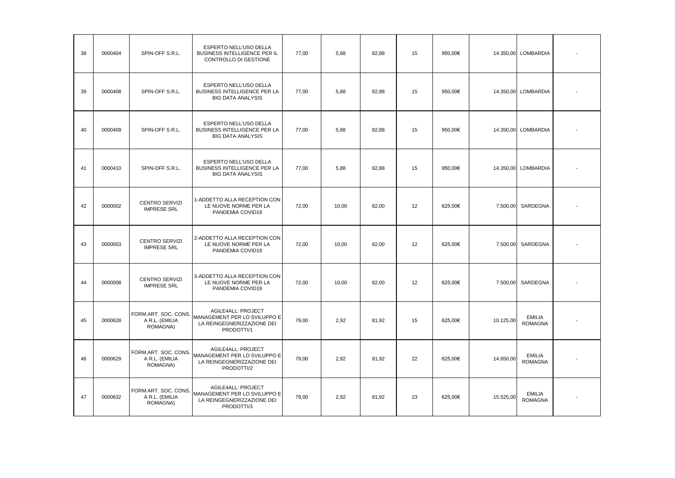| 38 | 0000404 | SPIN-OFF S.R.L.                                    | ESPERTO NELL'USO DELLA<br><b>BUSINESS INTELLIGENCE PER IL</b><br>CONTROLLO DI GESTIONE                | 77,00 | 5,88  | 82,88 | 15 | 950.00€ |           | 14.350,00 LOMBARDIA             |  |
|----|---------|----------------------------------------------------|-------------------------------------------------------------------------------------------------------|-------|-------|-------|----|---------|-----------|---------------------------------|--|
| 39 | 0000408 | SPIN-OFF S.R.L.                                    | <b>ESPERTO NELL'USO DELLA</b><br>BUSINESS INTELLIGENCE PER LA<br><b>BIG DATA ANALYSIS</b>             | 77,00 | 5.88  | 82,88 | 15 | 950.00€ |           | 14.350,00 LOMBARDIA             |  |
| 40 | 0000409 | SPIN-OFF S.R.L.                                    | ESPERTO NELL'USO DELLA<br><b>BUSINESS INTELLIGENCE PER LA</b><br><b>BIG DATA ANALYSIS</b>             | 77,00 | 5,88  | 82,88 | 15 | 950.00€ | 14.350,00 | <b>LOMBARDIA</b>                |  |
| 41 | 0000410 | SPIN-OFF S.R.L.                                    | ESPERTO NELL'USO DELLA<br>BUSINESS INTELLIGENCE PER LA<br><b>BIG DATA ANALYSIS</b>                    | 77,00 | 5,88  | 82.88 | 15 | 950.00€ |           | 14.350,00 LOMBARDIA             |  |
| 42 | 0000002 | <b>CENTRO SERVIZI</b><br><b>IMPRESE SRL</b>        | 1-ADDETTO ALLA RECEPTION CON<br>LE NUOVE NORME PER LA<br>PANDEMIA COVID19                             | 72,00 | 10,00 | 82,00 | 12 | 625,00€ | 7.500,00  | SARDEGNA                        |  |
| 43 | 0000003 | <b>CENTRO SERVIZI</b><br><b>IMPRESE SRL</b>        | 2-ADDETTO ALLA RECEPTION CON<br>LE NUOVE NORME PER LA<br>PANDEMIA COVID19                             | 72,00 | 10,00 | 82,00 | 12 | 625,00€ | 7.500,00  | SARDEGNA                        |  |
| 44 | 0000008 | <b>CENTRO SERVIZI</b><br><b>IMPRESE SRL</b>        | 3-ADDETTO ALLA RECEPTION CON<br>LE NUOVE NORME PER LA<br>PANDEMIA COVID19                             | 72,00 | 10,00 | 82,00 | 12 | 625,00€ | 7.500,00  | SARDEGNA                        |  |
| 45 | 0000628 | FORM.ART. SOC. CONS.<br>A R.L. (EMILIA<br>ROMAGNA) | <b>AGILE4ALL: PROJECT</b><br>MANAGEMENT PER LO SVILUPPO E<br>LA REINGEGNERIZZAZIONE DEI<br>PRODOTTI/1 | 79,00 | 2,92  | 81,92 | 15 | 625,00€ | 10.125,00 | <b>EMILIA</b><br><b>ROMAGNA</b> |  |
| 46 | 0000629 | FORM.ART. SOC. CONS.<br>A R.L. (EMILIA<br>ROMAGNA) | AGILE4ALL: PROJECT<br>MANAGEMENT PER LO SVILUPPO E<br>LA REINGEGNERIZZAZIONE DEI<br>PRODOTTI/2        | 79.00 | 2.92  | 81.92 | 22 | 625.00€ | 14.850.00 | <b>EMILIA</b><br><b>ROMAGNA</b> |  |
| 47 | 0000632 | FORM.ART. SOC. CONS.<br>A R.L. (EMILIA<br>ROMAGNA) | AGILE4ALL: PROJECT<br>MANAGEMENT PER LO SVILUPPO E<br>LA REINGEGNERIZZAZIONE DEI<br>PRODOTTI/3        | 79.00 | 2.92  | 81.92 | 23 | 625.00€ | 15.525,00 | <b>EMILIA</b><br><b>ROMAGNA</b> |  |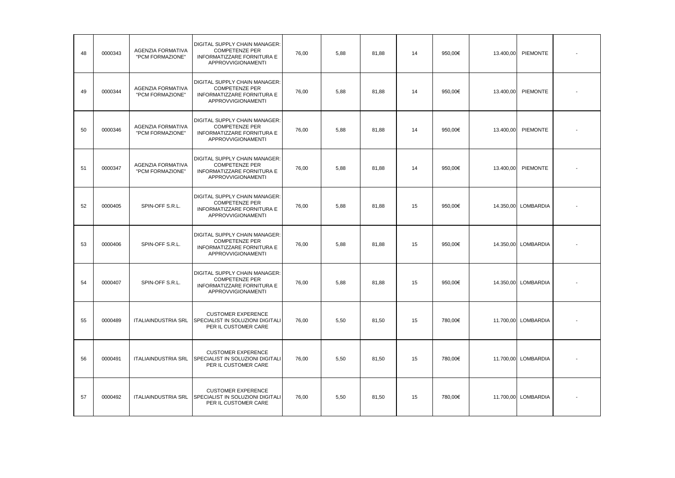| 48 | 0000343 | AGENZIA FORMATIVA<br>"PCM FORMAZIONE"        | DIGITAL SUPPLY CHAIN MANAGER:<br><b>COMPETENZE PER</b><br>INFORMATIZZARE FORNITURA E<br>APPROVVIGIONAMENTI        | 76,00 | 5,88 | 81,88 | 14 | 950,00€ | 13.400,00 | PIEMONTE            |  |
|----|---------|----------------------------------------------|-------------------------------------------------------------------------------------------------------------------|-------|------|-------|----|---------|-----------|---------------------|--|
| 49 | 0000344 | <b>AGENZIA FORMATIVA</b><br>"PCM FORMAZIONE" | DIGITAL SUPPLY CHAIN MANAGER:<br><b>COMPETENZE PER</b><br>INFORMATIZZARE FORNITURA E<br>APPROVVIGIONAMENTI        | 76,00 | 5,88 | 81,88 | 14 | 950,00€ | 13.400,00 | <b>PIEMONTE</b>     |  |
| 50 | 0000346 | <b>AGENZIA FORMATIVA</b><br>"PCM FORMAZIONE" | DIGITAL SUPPLY CHAIN MANAGER:<br><b>COMPETENZE PER</b><br>INFORMATIZZARE FORNITURA E<br><b>APPROVVIGIONAMENTI</b> | 76,00 | 5,88 | 81,88 | 14 | 950,00€ | 13.400,00 | <b>PIEMONTE</b>     |  |
| 51 | 0000347 | <b>AGENZIA FORMATIVA</b><br>"PCM FORMAZIONE" | DIGITAL SUPPLY CHAIN MANAGER:<br><b>COMPETENZE PER</b><br>INFORMATIZZARE FORNITURA E<br><b>APPROVVIGIONAMENTI</b> | 76,00 | 5.88 | 81.88 | 14 | 950.00€ | 13.400.00 | <b>PIEMONTE</b>     |  |
| 52 | 0000405 | SPIN-OFF S.R.L.                              | DIGITAL SUPPLY CHAIN MANAGER:<br><b>COMPETENZE PER</b><br>INFORMATIZZARE FORNITURA E<br>APPROVVIGIONAMENTI        | 76,00 | 5,88 | 81,88 | 15 | 950.00€ |           | 14.350,00 LOMBARDIA |  |
| 53 | 0000406 | SPIN-OFF S.R.L.                              | DIGITAL SUPPLY CHAIN MANAGER:<br><b>COMPETENZE PER</b><br>INFORMATIZZARE FORNITURA E<br>APPROVVIGIONAMENTI        | 76,00 | 5.88 | 81,88 | 15 | 950.00€ |           | 14.350,00 LOMBARDIA |  |
| 54 | 0000407 | SPIN-OFF S.R.L.                              | DIGITAL SUPPLY CHAIN MANAGER:<br><b>COMPETENZE PER</b><br>INFORMATIZZARE FORNITURA E<br>APPROVVIGIONAMENTI        | 76,00 | 5,88 | 81,88 | 15 | 950.00€ |           | 14.350,00 LOMBARDIA |  |
| 55 | 0000489 | <b>ITALIAINDUSTRIA SRL</b>                   | <b>CUSTOMER EXPERENCE</b><br>SPECIALIST IN SOLUZIONI DIGITALI<br>PER IL CUSTOMER CARE                             | 76.00 | 5,50 | 81,50 | 15 | 780.00€ |           | 11.700,00 LOMBARDIA |  |
| 56 | 0000491 | <b>ITALIAINDUSTRIA SRL</b>                   | <b>CUSTOMER EXPERENCE</b><br>SPECIALIST IN SOLUZIONI DIGITALI<br>PER IL CUSTOMER CARE                             | 76,00 | 5,50 | 81,50 | 15 | 780.00€ |           | 11.700,00 LOMBARDIA |  |
| 57 | 0000492 | <b>ITALIAINDUSTRIA SRL</b>                   | <b>CUSTOMER EXPERENCE</b><br>SPECIALIST IN SOLUZIONI DIGITALI<br>PER IL CUSTOMER CARE                             | 76,00 | 5,50 | 81,50 | 15 | 780.00€ |           | 11.700,00 LOMBARDIA |  |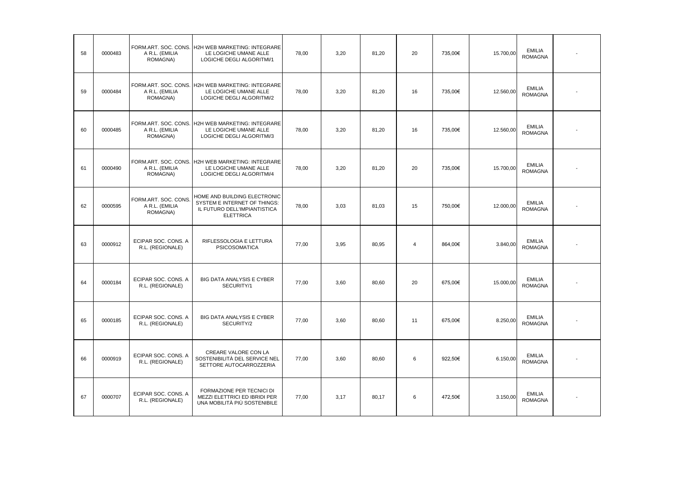| 58 | 0000483 | A R.L. (EMILIA<br>ROMAGNA)                         | FORM.ART. SOC. CONS. H2H WEB MARKETING: INTEGRARE<br>LE LOGICHE UMANE ALLE<br>LOGICHE DEGLI ALGORITMI/1          | 78,00 | 3,20 | 81,20 | 20 | 735,00€ | 15.700,00 | <b>EMILIA</b><br><b>ROMAGNA</b> |  |
|----|---------|----------------------------------------------------|------------------------------------------------------------------------------------------------------------------|-------|------|-------|----|---------|-----------|---------------------------------|--|
| 59 | 0000484 | A R.L. (EMILIA<br>ROMAGNA)                         | FORM.ART. SOC. CONS. H2H WEB MARKETING: INTEGRARE<br>LE LOGICHE UMANE ALLE<br>LOGICHE DEGLI ALGORITMI/2          | 78,00 | 3,20 | 81,20 | 16 | 735,00€ | 12.560,00 | <b>EMILIA</b><br><b>ROMAGNA</b> |  |
| 60 | 0000485 | A R.L. (EMILIA<br>ROMAGNA)                         | FORM.ART. SOC. CONS. H2H WEB MARKETING: INTEGRARE<br>LE LOGICHE UMANE ALLE<br>LOGICHE DEGLI ALGORITMI/3          | 78,00 | 3,20 | 81,20 | 16 | 735,00€ | 12.560,00 | <b>EMILIA</b><br><b>ROMAGNA</b> |  |
| 61 | 0000490 | A R.L. (EMILIA<br>ROMAGNA)                         | FORM.ART. SOC. CONS. H2H WEB MARKETING: INTEGRARE<br>LE LOGICHE UMANE ALLE<br>LOGICHE DEGLI ALGORITMI/4          | 78,00 | 3,20 | 81,20 | 20 | 735,00€ | 15.700,00 | <b>EMILIA</b><br><b>ROMAGNA</b> |  |
| 62 | 0000595 | FORM.ART. SOC. CONS.<br>A R.L. (EMILIA<br>ROMAGNA) | HOME AND BUILDING ELECTRONIC<br>SYSTEM E INTERNET OF THINGS:<br>IL FUTURO DELL'IMPIANTISTICA<br><b>ELETTRICA</b> | 78,00 | 3,03 | 81,03 | 15 | 750,00€ | 12.000,00 | <b>EMILIA</b><br><b>ROMAGNA</b> |  |
| 63 | 0000912 | ECIPAR SOC. CONS. A<br>R.L. (REGIONALE)            | RIFLESSOLOGIA E LETTURA<br><b>PSICOSOMATICA</b>                                                                  | 77,00 | 3.95 | 80,95 | 4  | 864.00€ | 3.840,00  | <b>EMILIA</b><br><b>ROMAGNA</b> |  |
| 64 | 0000184 | ECIPAR SOC. CONS. A<br>R.L. (REGIONALE)            | <b>BIG DATA ANALYSIS E CYBER</b><br>SECURITY/1                                                                   | 77,00 | 3,60 | 80,60 | 20 | 675,00€ | 15.000,00 | <b>EMILIA</b><br><b>ROMAGNA</b> |  |
| 65 | 0000185 | ECIPAR SOC. CONS. A<br>R.L. (REGIONALE)            | BIG DATA ANALYSIS E CYBER<br>SECURITY/2                                                                          | 77,00 | 3,60 | 80,60 | 11 | 675,00€ | 8.250,00  | <b>EMILIA</b><br><b>ROMAGNA</b> |  |
| 66 | 0000919 | ECIPAR SOC. CONS. A<br>R.L. (REGIONALE)            | CREARE VALORE CON LA<br>SOSTENIBILITÀ DEL SERVICE NEL<br>SETTORE AUTOCARROZZERIA                                 | 77,00 | 3,60 | 80,60 | 6  | 922,50€ | 6.150,00  | <b>EMILIA</b><br><b>ROMAGNA</b> |  |
| 67 | 0000707 | ECIPAR SOC. CONS. A<br>R.L. (REGIONALE)            | FORMAZIONE PER TECNICI DI<br>MEZZI ELETTRICI ED IBRIDI PER<br>UNA MOBILITÀ PIÙ SOSTENIBILE                       | 77,00 | 3,17 | 80,17 | 6  | 472,50€ | 3.150,00  | <b>EMILIA</b><br><b>ROMAGNA</b> |  |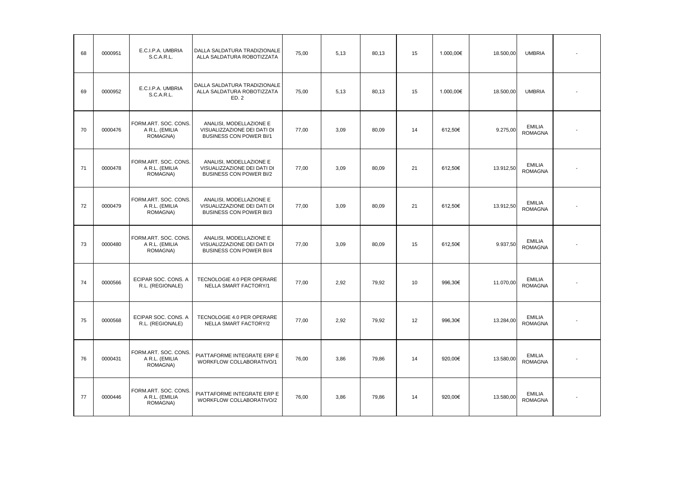| 68 | 0000951 | E.C.I.P.A. UMBRIA<br>S.C.A.R.L.                    | DALLA SALDATURA TRADIZIONALE<br>ALLA SALDATURA ROBOTIZZATA                               | 75,00 | 5,13 | 80,13 | 15 | 1.000,00€ | 18.500,00 | <b>UMBRIA</b>                   |  |
|----|---------|----------------------------------------------------|------------------------------------------------------------------------------------------|-------|------|-------|----|-----------|-----------|---------------------------------|--|
| 69 | 0000952 | E.C.I.P.A. UMBRIA<br>S.C.A.R.L.                    | DALLA SALDATURA TRADIZIONALE<br>ALLA SALDATURA ROBOTIZZATA<br>ED. 2                      | 75,00 | 5,13 | 80,13 | 15 | 1.000,00€ | 18.500,00 | <b>UMBRIA</b>                   |  |
| 70 | 0000476 | FORM.ART. SOC. CONS.<br>A R.L. (EMILIA<br>ROMAGNA) | ANALISI, MODELLAZIONE E<br>VISUALIZZAZIONE DEI DATI DI<br>BUSINESS CON POWER BI/1        | 77,00 | 3,09 | 80,09 | 14 | 612,50€   | 9.275,00  | <b>EMILIA</b><br><b>ROMAGNA</b> |  |
| 71 | 0000478 | FORM.ART. SOC. CONS.<br>A R.L. (EMILIA<br>ROMAGNA) | ANALISI, MODELLAZIONE E<br>VISUALIZZAZIONE DEI DATI DI<br><b>BUSINESS CON POWER BI/2</b> | 77,00 | 3,09 | 80,09 | 21 | 612,50€   | 13.912,50 | <b>EMILIA</b><br><b>ROMAGNA</b> |  |
| 72 | 0000479 | FORM.ART. SOC. CONS.<br>A R.L. (EMILIA<br>ROMAGNA) | ANALISI, MODELLAZIONE E<br>VISUALIZZAZIONE DEI DATI DI<br><b>BUSINESS CON POWER BI/3</b> | 77,00 | 3,09 | 80,09 | 21 | 612,50€   | 13.912,50 | <b>EMILIA</b><br><b>ROMAGNA</b> |  |
| 73 | 0000480 | FORM.ART. SOC. CONS.<br>A R.L. (EMILIA<br>ROMAGNA) | ANALISI, MODELLAZIONE E<br>VISUALIZZAZIONE DEI DATI DI<br>BUSINESS CON POWER BI/4        | 77,00 | 3.09 | 80,09 | 15 | 612.50€   | 9.937,50  | <b>EMILIA</b><br><b>ROMAGNA</b> |  |
| 74 | 0000566 | ECIPAR SOC. CONS. A<br>R.L. (REGIONALE)            | TECNOLOGIE 4.0 PER OPERARE<br>NELLA SMART FACTORY/1                                      | 77,00 | 2,92 | 79,92 | 10 | 996,30€   | 11.070,00 | <b>EMILIA</b><br><b>ROMAGNA</b> |  |
| 75 | 0000568 | ECIPAR SOC. CONS. A<br>R.L. (REGIONALE)            | TECNOLOGIE 4.0 PER OPERARE<br>NELLA SMART FACTORY/2                                      | 77,00 | 2,92 | 79,92 | 12 | 996,30€   | 13.284,00 | <b>EMILIA</b><br><b>ROMAGNA</b> |  |
| 76 | 0000431 | FORM.ART. SOC. CONS.<br>A R.L. (EMILIA<br>ROMAGNA) | PIATTAFORME INTEGRATE ERP E<br>WORKFLOW COLLABORATIVO/1                                  | 76,00 | 3.86 | 79,86 | 14 | 920,00€   | 13.580,00 | <b>EMILIA</b><br><b>ROMAGNA</b> |  |
| 77 | 0000446 | FORM.ART. SOC. CONS.<br>A R.L. (EMILIA<br>ROMAGNA) | PIATTAFORME INTEGRATE ERP E<br>WORKFLOW COLLABORATIVO/2                                  | 76,00 | 3,86 | 79,86 | 14 | 920,00€   | 13.580,00 | <b>EMILIA</b><br><b>ROMAGNA</b> |  |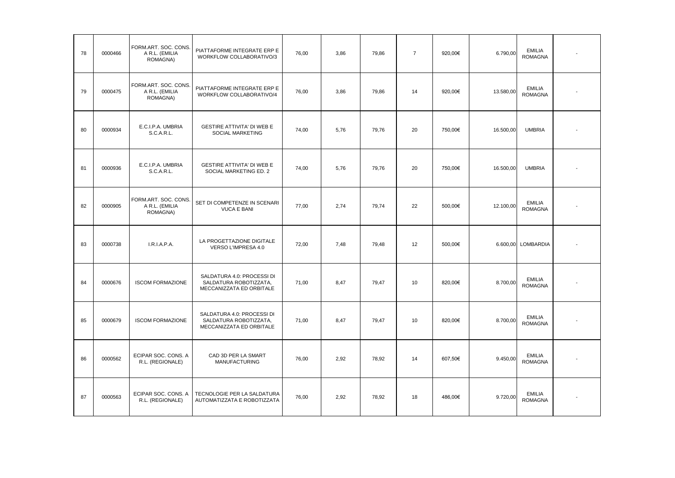| 78 | 0000466 | FORM.ART. SOC. CONS.<br>A R.L. (EMILIA<br>ROMAGNA) | PIATTAFORME INTEGRATE ERP E<br>WORKFLOW COLLABORATIVO/3                          | 76.00 | 3.86 | 79.86 | $\overline{7}$ | 920.00€ | 6.790,00  | <b>EMILIA</b><br><b>ROMAGNA</b> |  |
|----|---------|----------------------------------------------------|----------------------------------------------------------------------------------|-------|------|-------|----------------|---------|-----------|---------------------------------|--|
| 79 | 0000475 | FORM.ART. SOC. CONS.<br>A R.L. (EMILIA<br>ROMAGNA) | PIATTAFORME INTEGRATE ERP E<br>WORKFLOW COLLABORATIVO/4                          | 76,00 | 3,86 | 79,86 | 14             | 920,00€ | 13.580,00 | <b>EMILIA</b><br><b>ROMAGNA</b> |  |
| 80 | 0000934 | E.C.I.P.A. UMBRIA<br>S.C.A.R.L.                    | <b>GESTIRE ATTIVITA' DI WEB E</b><br>SOCIAL MARKETING                            | 74,00 | 5,76 | 79,76 | 20             | 750,00€ | 16.500,00 | <b>UMBRIA</b>                   |  |
| 81 | 0000936 | E.C.I.P.A. UMBRIA<br>S.C.A.R.L.                    | <b>GESTIRE ATTIVITA' DI WEB E</b><br>SOCIAL MARKETING ED. 2                      | 74,00 | 5,76 | 79,76 | 20             | 750,00€ | 16.500,00 | <b>UMBRIA</b>                   |  |
| 82 | 0000905 | FORM.ART. SOC. CONS.<br>A R.L. (EMILIA<br>ROMAGNA) | SET DI COMPETENZE IN SCENARI<br><b>VUCA E BANI</b>                               | 77,00 | 2,74 | 79,74 | 22             | 500,00€ | 12.100,00 | <b>EMILIA</b><br><b>ROMAGNA</b> |  |
| 83 | 0000738 | I.R.I.A.P.A.                                       | LA PROGETTAZIONE DIGITALE<br>VERSO L'IMPRESA 4.0                                 | 72,00 | 7,48 | 79,48 | 12             | 500,00€ |           | 6.600,00 LOMBARDIA              |  |
| 84 | 0000676 | <b>ISCOM FORMAZIONE</b>                            | SALDATURA 4.0: PROCESSI DI<br>SALDATURA ROBOTIZZATA,<br>MECCANIZZATA ED ORBITALE | 71,00 | 8,47 | 79,47 | 10             | 820,00€ | 8.700,00  | <b>EMILIA</b><br><b>ROMAGNA</b> |  |
| 85 | 0000679 | <b>ISCOM FORMAZIONE</b>                            | SALDATURA 4.0: PROCESSI DI<br>SALDATURA ROBOTIZZATA,<br>MECCANIZZATA ED ORBITALE | 71,00 | 8,47 | 79,47 | 10             | 820,00€ | 8.700,00  | <b>EMILIA</b><br><b>ROMAGNA</b> |  |
| 86 | 0000562 | ECIPAR SOC. CONS. A<br>R.L. (REGIONALE)            | CAD 3D PER LA SMART<br><b>MANUFACTURING</b>                                      | 76,00 | 2,92 | 78,92 | 14             | 607,50€ | 9.450,00  | <b>EMILIA</b><br><b>ROMAGNA</b> |  |
| 87 | 0000563 | ECIPAR SOC. CONS. A<br>R.L. (REGIONALE)            | TECNOLOGIE PER LA SALDATURA<br>AUTOMATIZZATA E ROBOTIZZATA                       | 76,00 | 2,92 | 78,92 | 18             | 486,00€ | 9.720,00  | <b>EMILIA</b><br><b>ROMAGNA</b> |  |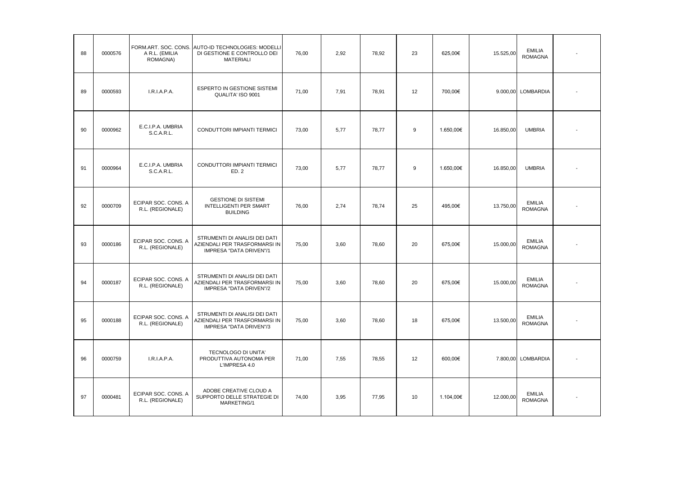| 88 | 0000576 | A R.L. (EMILIA<br>ROMAGNA)              | FORM.ART. SOC. CONS. AUTO-ID TECHNOLOGIES: MODELLI<br>DI GESTIONE E CONTROLLO DEI<br><b>MATERIALI</b> | 76,00 | 2.92 | 78,92 | 23 | 625,00€   | 15.525,00 | <b>EMILIA</b><br><b>ROMAGNA</b> |  |
|----|---------|-----------------------------------------|-------------------------------------------------------------------------------------------------------|-------|------|-------|----|-----------|-----------|---------------------------------|--|
| 89 | 0000593 | I.R.I.A.P.A.                            | ESPERTO IN GESTIONE SISTEMI<br>QUALITA' ISO 9001                                                      | 71,00 | 7.91 | 78,91 | 12 | 700,00€   |           | 9.000,00 LOMBARDIA              |  |
| 90 | 0000962 | E.C.I.P.A. UMBRIA<br>S.C.A.R.L.         | CONDUTTORI IMPIANTI TERMICI                                                                           | 73,00 | 5,77 | 78,77 | 9  | 1.650,00€ | 16.850,00 | <b>UMBRIA</b>                   |  |
| 91 | 0000964 | E.C.I.P.A. UMBRIA<br>S.C.A.R.L.         | CONDUTTORI IMPIANTI TERMICI<br>ED.2                                                                   | 73,00 | 5,77 | 78,77 | 9  | 1.650,00€ | 16.850,00 | <b>UMBRIA</b>                   |  |
| 92 | 0000709 | ECIPAR SOC. CONS. A<br>R.L. (REGIONALE) | <b>GESTIONE DI SISTEMI</b><br><b>INTELLIGENTI PER SMART</b><br><b>BUILDING</b>                        | 76.00 | 2.74 | 78.74 | 25 | 495.00€   | 13.750,00 | <b>EMILIA</b><br><b>ROMAGNA</b> |  |
| 93 | 0000186 | ECIPAR SOC. CONS. A<br>R.L. (REGIONALE) | STRUMENTI DI ANALISI DEI DATI<br>AZIENDALI PER TRASFORMARSI IN<br>IMPRESA "DATA DRIVEN"/1             | 75,00 | 3.60 | 78,60 | 20 | 675.00€   | 15.000,00 | <b>EMILIA</b><br><b>ROMAGNA</b> |  |
| 94 | 0000187 | ECIPAR SOC. CONS. A<br>R.L. (REGIONALE) | STRUMENTI DI ANALISI DEI DATI<br>AZIENDALI PER TRASFORMARSI IN<br>IMPRESA "DATA DRIVEN"/2             | 75,00 | 3,60 | 78,60 | 20 | 675,00€   | 15.000,00 | <b>EMILIA</b><br><b>ROMAGNA</b> |  |
| 95 | 0000188 | ECIPAR SOC. CONS. A<br>R.L. (REGIONALE) | STRUMENTI DI ANALISI DEI DATI<br>AZIENDALI PER TRASFORMARSI IN<br>IMPRESA "DATA DRIVEN"/3             | 75,00 | 3,60 | 78,60 | 18 | 675,00€   | 13.500,00 | <b>EMILIA</b><br><b>ROMAGNA</b> |  |
| 96 | 0000759 | I.R.I.A.P.A.                            | TECNOLOGO DI UNITA'<br>PRODUTTIVA AUTONOMA PER<br>L'IMPRESA 4.0                                       | 71,00 | 7,55 | 78,55 | 12 | 600,00€   |           | 7.800,00 LOMBARDIA              |  |
| 97 | 0000481 | ECIPAR SOC. CONS. A<br>R.L. (REGIONALE) | ADOBE CREATIVE CLOUD A<br>SUPPORTO DELLE STRATEGIE DI<br>MARKETING/1                                  | 74,00 | 3.95 | 77.95 | 10 | 1.104.00€ | 12.000,00 | <b>EMILIA</b><br><b>ROMAGNA</b> |  |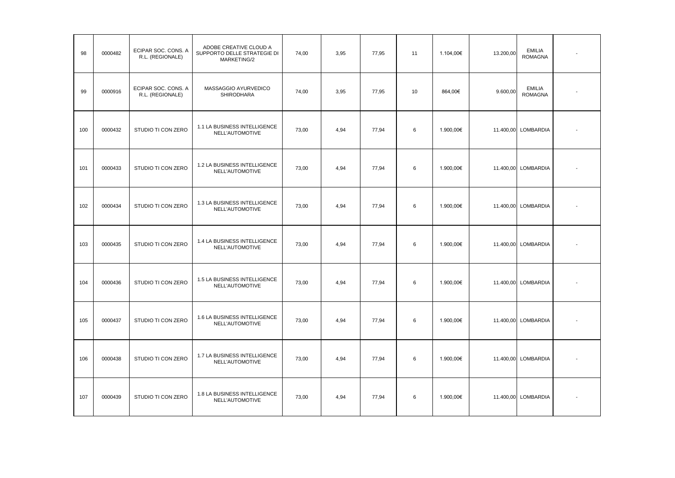| 98  | 0000482 | ECIPAR SOC. CONS. A<br>R.L. (REGIONALE) | ADOBE CREATIVE CLOUD A<br>SUPPORTO DELLE STRATEGIE DI<br>MARKETING/2 | 74,00 | 3,95 | 77,95 | 11 | 1.104,00€ | 13.200,00 | <b>EMILIA</b><br><b>ROMAGNA</b> |  |
|-----|---------|-----------------------------------------|----------------------------------------------------------------------|-------|------|-------|----|-----------|-----------|---------------------------------|--|
| 99  | 0000916 | ECIPAR SOC. CONS. A<br>R.L. (REGIONALE) | MASSAGGIO AYURVEDICO<br>SHIRODHARA                                   | 74,00 | 3,95 | 77,95 | 10 | 864,00€   | 9.600,00  | <b>EMILIA</b><br><b>ROMAGNA</b> |  |
| 100 | 0000432 | STUDIO TI CON ZERO                      | 1.1 LA BUSINESS INTELLIGENCE<br>NELL'AUTOMOTIVE                      | 73,00 | 4,94 | 77,94 | 6  | 1.900,00€ |           | 11.400,00 LOMBARDIA             |  |
| 101 | 0000433 | STUDIO TI CON ZERO                      | 1.2 LA BUSINESS INTELLIGENCE<br>NELL'AUTOMOTIVE                      | 73,00 | 4,94 | 77,94 | 6  | 1.900,00€ |           | 11.400,00 LOMBARDIA             |  |
| 102 | 0000434 | STUDIO TI CON ZERO                      | 1.3 LA BUSINESS INTELLIGENCE<br>NELL'AUTOMOTIVE                      | 73,00 | 4,94 | 77,94 | 6  | 1.900,00€ |           | 11.400,00 LOMBARDIA             |  |
| 103 | 0000435 | STUDIO TI CON ZERO                      | 1.4 LA BUSINESS INTELLIGENCE<br>NELL'AUTOMOTIVE                      | 73,00 | 4,94 | 77,94 | 6  | 1.900,00€ |           | 11.400,00 LOMBARDIA             |  |
| 104 | 0000436 | STUDIO TI CON ZERO                      | 1.5 LA BUSINESS INTELLIGENCE<br>NELL'AUTOMOTIVE                      | 73,00 | 4,94 | 77,94 | 6  | 1.900,00€ |           | 11.400,00 LOMBARDIA             |  |
| 105 | 0000437 | STUDIO TI CON ZERO                      | 1.6 LA BUSINESS INTELLIGENCE<br>NELL'AUTOMOTIVE                      | 73,00 | 4,94 | 77,94 | 6  | 1.900,00€ |           | 11.400,00 LOMBARDIA             |  |
| 106 | 0000438 | STUDIO TI CON ZERO                      | 1.7 LA BUSINESS INTELLIGENCE<br>NELL'AUTOMOTIVE                      | 73,00 | 4,94 | 77,94 | 6  | 1.900,00€ |           | 11.400,00 LOMBARDIA             |  |
| 107 | 0000439 | STUDIO TI CON ZERO                      | 1.8 LA BUSINESS INTELLIGENCE<br>NELL'AUTOMOTIVE                      | 73,00 | 4,94 | 77,94 | 6  | 1.900,00€ |           | 11.400,00 LOMBARDIA             |  |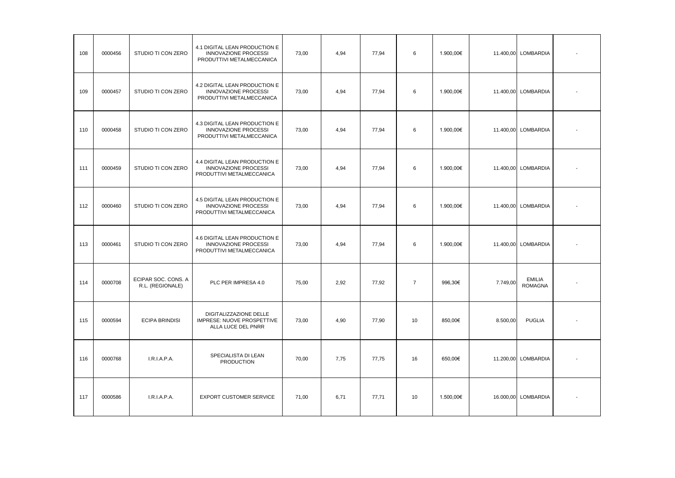| 108 | 0000456 | STUDIO TI CON ZERO                      | 4.1 DIGITAL LEAN PRODUCTION E<br><b>INNOVAZIONE PROCESSI</b><br>PRODUTTIVI METALMECCANICA | 73,00 | 4.94 | 77,94 | 6              | 1.900,00€ |          | 11.400,00 LOMBARDIA             |  |
|-----|---------|-----------------------------------------|-------------------------------------------------------------------------------------------|-------|------|-------|----------------|-----------|----------|---------------------------------|--|
| 109 | 0000457 | STUDIO TI CON ZERO                      | 4.2 DIGITAL LEAN PRODUCTION E<br>INNOVAZIONE PROCESSI<br>PRODUTTIVI METALMECCANICA        | 73,00 | 4,94 | 77,94 | 6              | 1.900,00€ |          | 11.400,00 LOMBARDIA             |  |
| 110 | 0000458 | STUDIO TI CON ZERO                      | 4.3 DIGITAL LEAN PRODUCTION E<br><b>INNOVAZIONE PROCESSI</b><br>PRODUTTIVI METALMECCANICA | 73,00 | 4,94 | 77,94 | 6              | 1.900,00€ |          | 11.400,00 LOMBARDIA             |  |
| 111 | 0000459 | STUDIO TI CON ZERO                      | 4.4 DIGITAL LEAN PRODUCTION E<br><b>INNOVAZIONE PROCESSI</b><br>PRODUTTIVI METALMECCANICA | 73,00 | 4,94 | 77,94 | 6              | 1.900,00€ |          | 11.400,00 LOMBARDIA             |  |
| 112 | 0000460 | STUDIO TI CON ZERO                      | 4.5 DIGITAL LEAN PRODUCTION E<br><b>INNOVAZIONE PROCESSI</b><br>PRODUTTIVI METALMECCANICA | 73,00 | 4,94 | 77,94 | 6              | 1.900,00€ |          | 11.400,00 LOMBARDIA             |  |
| 113 | 0000461 | STUDIO TI CON ZERO                      | 4.6 DIGITAL LEAN PRODUCTION E<br><b>INNOVAZIONE PROCESSI</b><br>PRODUTTIVI METALMECCANICA | 73,00 | 4,94 | 77,94 | 6              | 1.900,00€ |          | 11.400,00 LOMBARDIA             |  |
| 114 | 0000708 | ECIPAR SOC. CONS. A<br>R.L. (REGIONALE) | PLC PER IMPRESA 4.0                                                                       | 75,00 | 2,92 | 77,92 | $\overline{7}$ | 996,30€   | 7.749,00 | <b>EMILIA</b><br><b>ROMAGNA</b> |  |
| 115 | 0000594 | <b>ECIPA BRINDISI</b>                   | DIGITALIZZAZIONE DELLE<br>IMPRESE: NUOVE PROSPETTIVE<br>ALLA LUCE DEL PNRR                | 73,00 | 4,90 | 77,90 | 10             | 850,00€   | 8.500,00 | <b>PUGLIA</b>                   |  |
| 116 | 0000768 | I.R.I.A.P.A.                            | SPECIALISTA DI LEAN<br><b>PRODUCTION</b>                                                  | 70,00 | 7,75 | 77,75 | 16             | 650,00€   |          | 11.200,00 LOMBARDIA             |  |
| 117 | 0000586 | I.R.I.A.P.A.                            | <b>EXPORT CUSTOMER SERVICE</b>                                                            | 71,00 | 6,71 | 77,71 | 10             | 1.500,00€ |          | 16.000,00 LOMBARDIA             |  |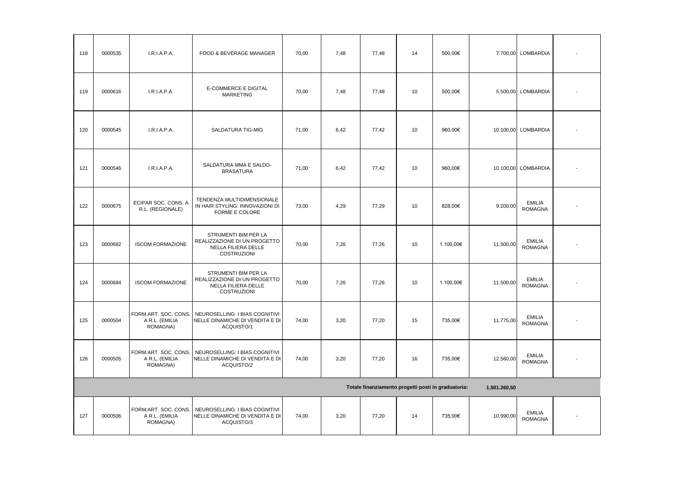| 118 | 0000535 | I.R.I.A.P.A.                                       | FOOD & BEVERAGE MANAGER                                                                              | 70,00 | 7,48 | 77,48 | 14 | 500,00€                                             |              | 7.700,00 LOMBARDIA              |  |
|-----|---------|----------------------------------------------------|------------------------------------------------------------------------------------------------------|-------|------|-------|----|-----------------------------------------------------|--------------|---------------------------------|--|
| 119 | 0000616 | I.R.I.A.P.A.                                       | E-COMMERCE E DIGITAL<br><b>MARKETING</b>                                                             | 70,00 | 7,48 | 77,48 | 10 | 500,00€                                             |              | 5.500,00 LOMBARDIA              |  |
| 120 | 0000545 | I.R.I.A.P.A.                                       | SALDATURA TIG-MIG                                                                                    | 71,00 | 6,42 | 77,42 | 10 | 960,00€                                             |              | 10.100,00 LOMBARDIA             |  |
| 121 | 0000546 | I.R.I.A.P.A.                                       | SALDATURA MMA E SALDO-<br><b>BRASATURA</b>                                                           | 71,00 | 6,42 | 77,42 | 10 | 960,00€                                             |              | 10.100,00 LOMBARDIA             |  |
| 122 | 0000675 | ECIPAR SOC. CONS. A<br>R.L. (REGIONALE)            | TENDENZA MULTIDIMENSIONALE<br>IN HAIR STYLING: INNOVAZIONI DI<br>FORME E COLORE                      | 73,00 | 4,29 | 77,29 | 10 | 828,00€                                             | 9.200,00     | <b>EMILIA</b><br><b>ROMAGNA</b> |  |
| 123 | 0000682 | <b>ISCOM FORMAZIONE</b>                            | STRUMENTI BIM PER LA<br>REALIZZAZIONE DI UN PROGETTO<br>NELLA FILIERA DELLE<br><b>COSTRUZIONI</b>    | 70,00 | 7,26 | 77,26 | 10 | 1.100,00€                                           | 11.500,00    | <b>EMILIA</b><br><b>ROMAGNA</b> |  |
| 124 | 0000684 | <b>ISCOM FORMAZIONE</b>                            | STRUMENTI BIM PER LA<br>REALIZZAZIONE DI UN PROGETTO<br>NELLA FILIERA DELLE<br>COSTRUZIONI           | 70,00 | 7,26 | 77,26 | 10 | 1.100,00€                                           | 11.500,00    | <b>EMILIA</b><br><b>ROMAGNA</b> |  |
| 125 | 0000504 | A R.L. (EMILIA<br>ROMAGNA)                         | FORM.ART. SOC. CONS. NEUROSELLING: I BIAS COGNITIVI<br>NELLE DINAMICHE DI VENDITA E DI<br>ACQUISTO/1 | 74,00 | 3,20 | 77,20 | 15 | 735,00€                                             | 11.775,00    | <b>EMILIA</b><br><b>ROMAGNA</b> |  |
| 126 | 0000505 | FORM.ART. SOC. CONS.<br>A R.L. (EMILIA<br>ROMAGNA) | NEUROSELLING: I BIAS COGNITIVI<br>NELLE DINAMICHE DI VENDITA E DI<br>ACQUISTO/2                      | 74,00 | 3,20 | 77,20 | 16 | 735,00€                                             | 12.560,00    | <b>EMILIA</b><br><b>ROMAGNA</b> |  |
|     |         |                                                    |                                                                                                      |       |      |       |    | Totale finanziamento progetti posti in graduatoria: | 1.501.260,50 |                                 |  |
| 127 | 0000506 | FORM.ART. SOC. CONS.<br>A R.L. (EMILIA<br>ROMAGNA) | NEUROSELLING: I BIAS COGNITIVI<br>NELLE DINAMICHE DI VENDITA E DI<br>ACQUISTO/3                      | 74,00 | 3,20 | 77,20 | 14 | 735,00€                                             | 10.990,00    | <b>EMILIA</b><br><b>ROMAGNA</b> |  |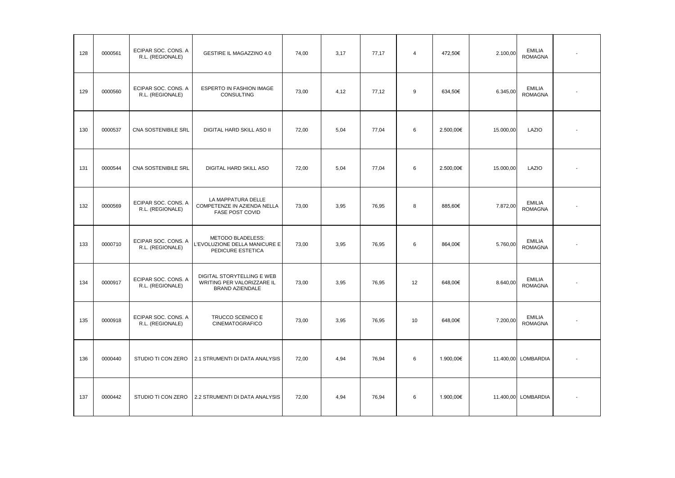| 128 | 0000561 | ECIPAR SOC. CONS. A<br>R.L. (REGIONALE) | GESTIRE IL MAGAZZINO 4.0                                                    | 74,00 | 3,17 | 77,17 | $\overline{4}$ | 472,50€   | 2.100,00  | <b>EMILIA</b><br><b>ROMAGNA</b> |  |
|-----|---------|-----------------------------------------|-----------------------------------------------------------------------------|-------|------|-------|----------------|-----------|-----------|---------------------------------|--|
| 129 | 0000560 | ECIPAR SOC. CONS. A<br>R.L. (REGIONALE) | ESPERTO IN FASHION IMAGE<br><b>CONSULTING</b>                               | 73,00 | 4,12 | 77,12 | 9              | 634,50€   | 6.345,00  | <b>EMILIA</b><br><b>ROMAGNA</b> |  |
| 130 | 0000537 | CNA SOSTENIBILE SRL                     | DIGITAL HARD SKILL ASO II                                                   | 72,00 | 5,04 | 77,04 | 6              | 2.500,00€ | 15.000,00 | LAZIO                           |  |
| 131 | 0000544 | CNA SOSTENIBILE SRL                     | DIGITAL HARD SKILL ASO                                                      | 72,00 | 5,04 | 77,04 | 6              | 2.500,00€ | 15.000,00 | LAZIO                           |  |
| 132 | 0000569 | ECIPAR SOC. CONS. A<br>R.L. (REGIONALE) | LA MAPPATURA DELLE<br>COMPETENZE IN AZIENDA NELLA<br><b>FASE POST COVID</b> | 73,00 | 3,95 | 76,95 | 8              | 885,60€   | 7.872,00  | <b>EMILIA</b><br><b>ROMAGNA</b> |  |
| 133 | 0000710 | ECIPAR SOC. CONS. A<br>R.L. (REGIONALE) | METODO BLADELESS:<br>L'EVOLUZIONE DELLA MANICURE E<br>PEDICURE ESTETICA     | 73,00 | 3,95 | 76,95 | 6              | 864,00€   | 5.760,00  | <b>EMILIA</b><br><b>ROMAGNA</b> |  |
| 134 | 0000917 | ECIPAR SOC. CONS. A<br>R.L. (REGIONALE) | DIGITAL STORYTELLING E WEB<br>WRITING PER VALORIZZARE IL<br>BRAND AZIENDALE | 73,00 | 3,95 | 76,95 | 12             | 648,00€   | 8.640,00  | <b>EMILIA</b><br><b>ROMAGNA</b> |  |
| 135 | 0000918 | ECIPAR SOC. CONS. A<br>R.L. (REGIONALE) | TRUCCO SCENICO E<br><b>CINEMATOGRAFICO</b>                                  | 73,00 | 3,95 | 76,95 | 10             | 648,00€   | 7.200,00  | <b>EMILIA</b><br><b>ROMAGNA</b> |  |
| 136 | 0000440 | STUDIO TI CON ZERO                      | 2.1 STRUMENTI DI DATA ANALYSIS                                              | 72,00 | 4,94 | 76,94 | 6              | 1.900,00€ |           | 11.400,00 LOMBARDIA             |  |
| 137 | 0000442 | STUDIO TI CON ZERO                      | 2.2 STRUMENTI DI DATA ANALYSIS                                              | 72,00 | 4,94 | 76,94 | 6              | 1.900,00€ |           | 11.400,00 LOMBARDIA             |  |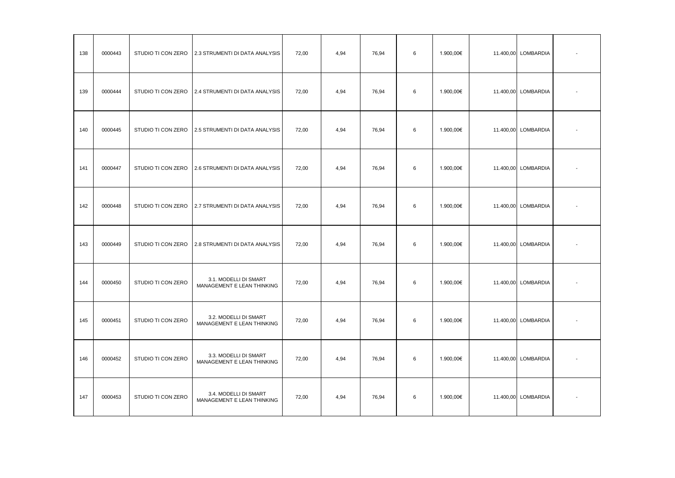| 138 | 0000443 | STUDIO TI CON ZERO | 2.3 STRUMENTI DI DATA ANALYSIS                      | 72,00 | 4,94 | 76,94 | 6 | 1.900,00€ | 11.400,00 LOMBARDIA |  |
|-----|---------|--------------------|-----------------------------------------------------|-------|------|-------|---|-----------|---------------------|--|
| 139 | 0000444 | STUDIO TI CON ZERO | 2.4 STRUMENTI DI DATA ANALYSIS                      | 72,00 | 4,94 | 76,94 | 6 | 1.900,00€ | 11.400,00 LOMBARDIA |  |
| 140 | 0000445 | STUDIO TI CON ZERO | 2.5 STRUMENTI DI DATA ANALYSIS                      | 72,00 | 4,94 | 76,94 | 6 | 1.900,00€ | 11.400,00 LOMBARDIA |  |
| 141 | 0000447 | STUDIO TI CON ZERO | 2.6 STRUMENTI DI DATA ANALYSIS                      | 72,00 | 4,94 | 76,94 | 6 | 1.900,00€ | 11.400,00 LOMBARDIA |  |
| 142 | 0000448 | STUDIO TI CON ZERO | 2.7 STRUMENTI DI DATA ANALYSIS                      | 72,00 | 4,94 | 76,94 | 6 | 1.900,00€ | 11.400,00 LOMBARDIA |  |
| 143 | 0000449 | STUDIO TI CON ZERO | 2.8 STRUMENTI DI DATA ANALYSIS                      | 72,00 | 4,94 | 76,94 | 6 | 1.900,00€ | 11.400,00 LOMBARDIA |  |
| 144 | 0000450 | STUDIO TI CON ZERO | 3.1. MODELLI DI SMART<br>MANAGEMENT E LEAN THINKING | 72,00 | 4,94 | 76,94 | 6 | 1.900,00€ | 11.400,00 LOMBARDIA |  |
| 145 | 0000451 | STUDIO TI CON ZERO | 3.2. MODELLI DI SMART<br>MANAGEMENT E LEAN THINKING | 72,00 | 4,94 | 76,94 | 6 | 1.900,00€ | 11.400,00 LOMBARDIA |  |
| 146 | 0000452 | STUDIO TI CON ZERO | 3.3. MODELLI DI SMART<br>MANAGEMENT E LEAN THINKING | 72,00 | 4,94 | 76,94 | 6 | 1.900,00€ | 11.400,00 LOMBARDIA |  |
| 147 | 0000453 | STUDIO TI CON ZERO | 3.4. MODELLI DI SMART<br>MANAGEMENT E LEAN THINKING | 72,00 | 4,94 | 76,94 | 6 | 1.900,00€ | 11.400,00 LOMBARDIA |  |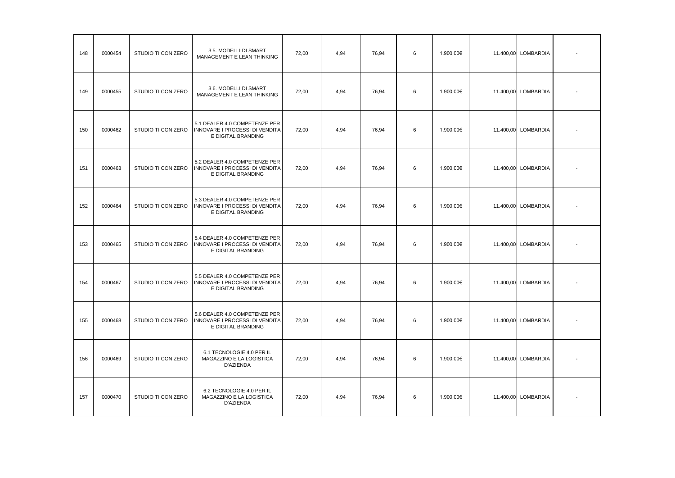| 148 | 0000454 | STUDIO TI CON ZERO | 3.5. MODELLI DI SMART<br>MANAGEMENT E LEAN THINKING                                   | 72,00 | 4,94 | 76,94 | 6 | 1.900,00€ | 11.400,00 LOMBARDIA |  |
|-----|---------|--------------------|---------------------------------------------------------------------------------------|-------|------|-------|---|-----------|---------------------|--|
| 149 | 0000455 | STUDIO TI CON ZERO | 3.6. MODELLI DI SMART<br>MANAGEMENT E LEAN THINKING                                   | 72,00 | 4,94 | 76,94 | 6 | 1.900,00€ | 11.400,00 LOMBARDIA |  |
| 150 | 0000462 | STUDIO TI CON ZERO | 5.1 DEALER 4.0 COMPETENZE PER<br>INNOVARE I PROCESSI DI VENDITA<br>E DIGITAL BRANDING | 72,00 | 4,94 | 76,94 | 6 | 1.900,00€ | 11.400,00 LOMBARDIA |  |
| 151 | 0000463 | STUDIO TI CON ZERO | 5.2 DEALER 4.0 COMPETENZE PER<br>INNOVARE I PROCESSI DI VENDITA<br>E DIGITAL BRANDING | 72,00 | 4,94 | 76,94 | 6 | 1.900,00€ | 11.400,00 LOMBARDIA |  |
| 152 | 0000464 | STUDIO TI CON ZERO | 5.3 DEALER 4.0 COMPETENZE PER<br>INNOVARE I PROCESSI DI VENDITA<br>E DIGITAL BRANDING | 72,00 | 4,94 | 76,94 | 6 | 1.900,00€ | 11.400,00 LOMBARDIA |  |
| 153 | 0000465 | STUDIO TI CON ZERO | 5.4 DEALER 4.0 COMPETENZE PER<br>INNOVARE I PROCESSI DI VENDITA<br>E DIGITAL BRANDING | 72,00 | 4,94 | 76,94 | 6 | 1.900,00€ | 11.400,00 LOMBARDIA |  |
| 154 | 0000467 | STUDIO TI CON ZERO | 5.5 DEALER 4.0 COMPETENZE PER<br>INNOVARE I PROCESSI DI VENDITA<br>E DIGITAL BRANDING | 72,00 | 4,94 | 76,94 | 6 | 1.900,00€ | 11.400,00 LOMBARDIA |  |
| 155 | 0000468 | STUDIO TI CON ZERO | 5.6 DEALER 4.0 COMPETENZE PER<br>INNOVARE I PROCESSI DI VENDITA<br>E DIGITAL BRANDING | 72,00 | 4,94 | 76,94 | 6 | 1.900,00€ | 11.400,00 LOMBARDIA |  |
| 156 | 0000469 | STUDIO TI CON ZERO | 6.1 TECNOLOGIE 4.0 PER IL<br>MAGAZZINO E LA LOGISTICA<br>D'AZIENDA                    | 72,00 | 4,94 | 76,94 | 6 | 1.900,00€ | 11.400,00 LOMBARDIA |  |
| 157 | 0000470 | STUDIO TI CON ZERO | 6.2 TECNOLOGIE 4.0 PER IL<br>MAGAZZINO E LA LOGISTICA<br>D'AZIENDA                    | 72,00 | 4,94 | 76,94 | 6 | 1.900,00€ | 11.400,00 LOMBARDIA |  |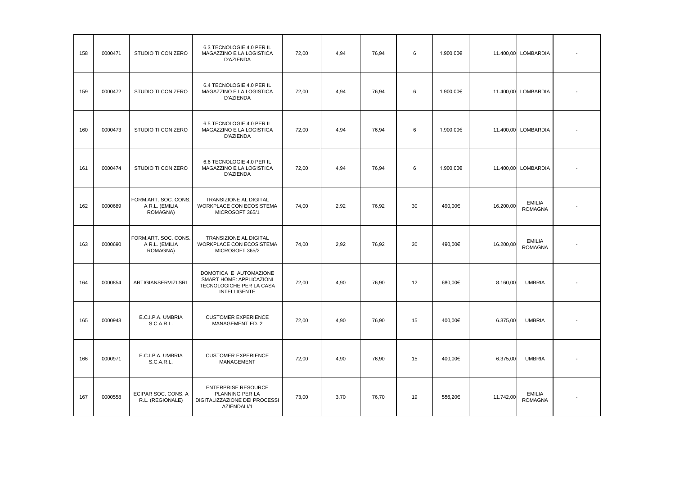| 158 | 0000471 | STUDIO TI CON ZERO                                 | 6.3 TECNOLOGIE 4.0 PER IL<br>MAGAZZINO E LA LOGISTICA<br>D'AZIENDA                                    | 72.00 | 4.94 | 76,94 | 6  | 1.900,00€ |           | 11.400,00 LOMBARDIA             |  |
|-----|---------|----------------------------------------------------|-------------------------------------------------------------------------------------------------------|-------|------|-------|----|-----------|-----------|---------------------------------|--|
| 159 | 0000472 | STUDIO TI CON ZERO                                 | 6.4 TECNOLOGIE 4.0 PER IL<br>MAGAZZINO E LA LOGISTICA<br>D'AZIENDA                                    | 72,00 | 4.94 | 76,94 | 6  | 1.900,00€ | 11.400,00 | LOMBARDIA                       |  |
| 160 | 0000473 | STUDIO TI CON ZERO                                 | 6.5 TECNOLOGIE 4.0 PER IL<br>MAGAZZINO E LA LOGISTICA<br>D'AZIENDA                                    | 72,00 | 4,94 | 76,94 | 6  | 1.900,00€ | 11.400,00 | <b>LOMBARDIA</b>                |  |
| 161 | 0000474 | STUDIO TI CON ZERO                                 | 6.6 TECNOLOGIE 4.0 PER IL<br>MAGAZZINO E LA LOGISTICA<br>D'AZIENDA                                    | 72,00 | 4.94 | 76.94 | 6  | 1.900,00€ |           | 11.400,00 LOMBARDIA             |  |
| 162 | 0000689 | FORM.ART. SOC. CONS.<br>A R.L. (EMILIA<br>ROMAGNA) | TRANSIZIONE AL DIGITAL<br>WORKPLACE CON ECOSISTEMA<br>MICROSOFT 365/1                                 | 74,00 | 2,92 | 76,92 | 30 | 490,00€   | 16.200,00 | <b>EMILIA</b><br><b>ROMAGNA</b> |  |
| 163 | 0000690 | FORM.ART. SOC. CONS.<br>A R.L. (EMILIA<br>ROMAGNA) | TRANSIZIONE AL DIGITAL<br>WORKPLACE CON ECOSISTEMA<br>MICROSOFT 365/2                                 | 74,00 | 2,92 | 76,92 | 30 | 490,00€   | 16.200,00 | <b>EMILIA</b><br><b>ROMAGNA</b> |  |
| 164 | 0000854 | ARTIGIANSERVIZI SRL                                | DOMOTICA E AUTOMAZIONE<br>SMART HOME: APPLICAZIONI<br>TECNOLOGICHE PER LA CASA<br><b>INTELLIGENTE</b> | 72,00 | 4,90 | 76,90 | 12 | 680,00€   | 8.160,00  | <b>UMBRIA</b>                   |  |
| 165 | 0000943 | E.C.I.P.A. UMBRIA<br>S.C.A.R.L.                    | <b>CUSTOMER EXPERIENCE</b><br>MANAGEMENT ED. 2                                                        | 72,00 | 4,90 | 76,90 | 15 | 400,00€   | 6.375,00  | <b>UMBRIA</b>                   |  |
| 166 | 0000971 | E.C.I.P.A. UMBRIA<br>S.C.A.R.L.                    | <b>CUSTOMER EXPERIENCE</b><br><b>MANAGEMENT</b>                                                       | 72.00 | 4.90 | 76.90 | 15 | 400.00€   | 6.375.00  | <b>UMBRIA</b>                   |  |
| 167 | 0000558 | ECIPAR SOC. CONS. A<br>R.L. (REGIONALE)            | <b>ENTERPRISE RESOURCE</b><br>PLANNING PER LA<br>DIGITALIZZAZIONE DEI PROCESSI<br>AZIENDALI/1         | 73.00 | 3.70 | 76.70 | 19 | 556.20€   | 11.742,00 | <b>EMILIA</b><br><b>ROMAGNA</b> |  |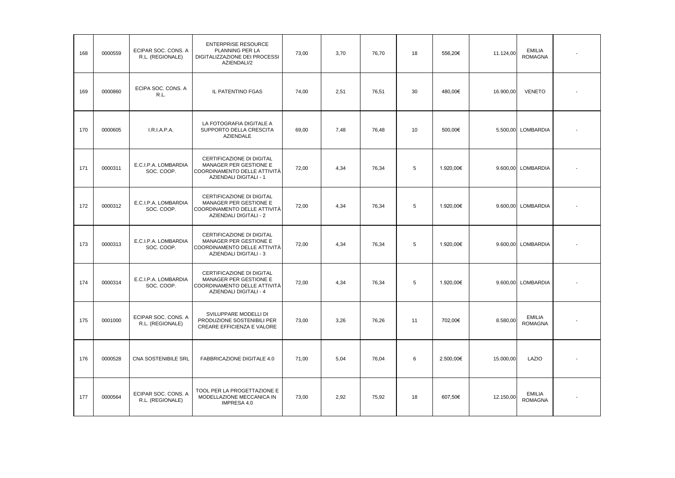| 168 | 0000559 | ECIPAR SOC. CONS. A<br>R.L. (REGIONALE) | <b>ENTERPRISE RESOURCE</b><br>PLANNING PER LA<br>DIGITALIZZAZIONE DEI PROCESSI<br>AZIENDALI/2                 | 73,00 | 3,70 | 76,70 | 18 | 556,20€   | 11.124,00 | <b>EMILIA</b><br><b>ROMAGNA</b> |  |
|-----|---------|-----------------------------------------|---------------------------------------------------------------------------------------------------------------|-------|------|-------|----|-----------|-----------|---------------------------------|--|
| 169 | 0000860 | ECIPA SOC. CONS. A<br>R.L.              | IL PATENTINO FGAS                                                                                             | 74,00 | 2,51 | 76,51 | 30 | 480,00€   | 16.900,00 | <b>VENETO</b>                   |  |
| 170 | 0000605 | I.R.I.A.P.A.                            | LA FOTOGRAFIA DIGITALE A<br>SUPPORTO DELLA CRESCITA<br><b>AZIENDALE</b>                                       | 69,00 | 7,48 | 76,48 | 10 | 500,00€   |           | 5.500,00 LOMBARDIA              |  |
| 171 | 0000311 | E.C.I.P.A. LOMBARDIA<br>SOC. COOP.      | CERTIFICAZIONE DI DIGITAL<br>MANAGER PER GESTIONE E<br>COORDINAMENTO DELLE ATTIVITÀ<br>AZIENDALI DIGITALI - 1 | 72,00 | 4,34 | 76,34 | 5  | 1.920,00€ |           | 9.600,00 LOMBARDIA              |  |
| 172 | 0000312 | E.C.I.P.A. LOMBARDIA<br>SOC. COOP.      | CERTIFICAZIONE DI DIGITAL<br>MANAGER PER GESTIONE E<br>COORDINAMENTO DELLE ATTIVITÀ<br>AZIENDALI DIGITALI - 2 | 72,00 | 4,34 | 76,34 | 5  | 1.920,00€ |           | 9.600,00 LOMBARDIA              |  |
| 173 | 0000313 | E.C.I.P.A. LOMBARDIA<br>SOC. COOP.      | CERTIFICAZIONE DI DIGITAL<br>MANAGER PER GESTIONE E<br>COORDINAMENTO DELLE ATTIVITÀ<br>AZIENDALI DIGITALI - 3 | 72,00 | 4,34 | 76,34 | 5  | 1.920,00€ |           | 9.600,00 LOMBARDIA              |  |
| 174 | 0000314 | E.C.I.P.A. LOMBARDIA<br>SOC. COOP.      | CERTIFICAZIONE DI DIGITAL<br>MANAGER PER GESTIONE E<br>COORDINAMENTO DELLE ATTIVITÀ<br>AZIENDALI DIGITALI - 4 | 72,00 | 4,34 | 76,34 | 5  | 1.920,00€ |           | 9.600.00 LOMBARDIA              |  |
| 175 | 0001000 | ECIPAR SOC. CONS. A<br>R.L. (REGIONALE) | SVILUPPARE MODELLI DI<br>PRODUZIONE SOSTENIBILI PER<br>CREARE EFFICIENZA E VALORE                             | 73,00 | 3,26 | 76,26 | 11 | 702,00€   | 8.580,00  | <b>EMILIA</b><br><b>ROMAGNA</b> |  |
| 176 | 0000528 | CNA SOSTENIBILE SRL                     | FABBRICAZIONE DIGITALE 4.0                                                                                    | 71,00 | 5,04 | 76,04 | 6  | 2.500,00€ | 15.000,00 | LAZIO                           |  |
| 177 | 0000564 | ECIPAR SOC. CONS. A<br>R.L. (REGIONALE) | TOOL PER LA PROGETTAZIONE E<br>MODELLAZIONE MECCANICA IN<br>IMPRESA 4.0                                       | 73,00 | 2,92 | 75,92 | 18 | 607,50€   | 12.150,00 | <b>EMILIA</b><br><b>ROMAGNA</b> |  |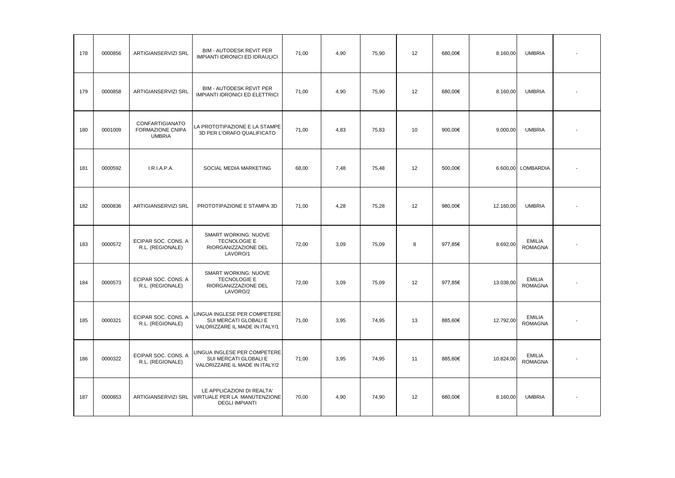| 178 | 0000856 | ARTIGIANSERVIZI SRL                                  | BIM - AUTODESK REVIT PER<br>IMPIANTI IDRONICI ED IDRAULICI                                              | 71,00 | 4,90 | 75,90 | 12                | 680,00€ | 8.160,00  | <b>UMBRIA</b>                   |  |
|-----|---------|------------------------------------------------------|---------------------------------------------------------------------------------------------------------|-------|------|-------|-------------------|---------|-----------|---------------------------------|--|
| 179 | 0000858 | ARTIGIANSERVIZI SRL                                  | <b>BIM - AUTODESK REVIT PER</b><br><b>IMPIANTI IDRONICI ED ELETTRICI</b>                                | 71,00 | 4,90 | 75,90 | 12                | 680,00€ | 8.160,00  | <b>UMBRIA</b>                   |  |
| 180 | 0001009 | CONFARTIGIANATO<br>FORMAZIONE CNIPA<br><b>UMBRIA</b> | LA PROTOTIPAZIONE E LA STAMPE<br>3D PER L'ORAFO QUALIFICATO                                             | 71,00 | 4,83 | 75,83 | 10                | 900,00€ | 9.000,00  | <b>UMBRIA</b>                   |  |
| 181 | 0000592 | I.R.I.A.P.A.                                         | SOCIAL MEDIA MARKETING                                                                                  | 68,00 | 7,48 | 75,48 | 12                | 500,00€ |           | 6.600,00 LOMBARDIA              |  |
| 182 | 0000836 | ARTIGIANSERVIZI SRL                                  | PROTOTIPAZIONE E STAMPA 3D                                                                              | 71,00 | 4,28 | 75,28 | 12                | 980,00€ | 12.160,00 | <b>UMBRIA</b>                   |  |
| 183 | 0000572 | ECIPAR SOC. CONS. A<br>R.L. (REGIONALE)              | <b>SMART WORKING: NUOVE</b><br>TECNOLOGIE E<br>RIORGANIZZAZIONE DEL<br>LAVORO/1                         | 72,00 | 3,09 | 75,09 | 8                 | 977,85€ | 8.692,00  | <b>EMILIA</b><br><b>ROMAGNA</b> |  |
| 184 | 0000573 | ECIPAR SOC. CONS. A<br>R.L. (REGIONALE)              | SMART WORKING: NUOVE<br>TECNOLOGIE E<br>RIORGANIZZAZIONE DEL<br>LAVORO/2                                | 72,00 | 3,09 | 75,09 | 12                | 977.85€ | 13.038,00 | <b>EMILIA</b><br><b>ROMAGNA</b> |  |
| 185 | 0000321 | ECIPAR SOC. CONS. A<br>R.L. (REGIONALE)              | LINGUA INGLESE PER COMPETERE<br>SUI MERCATI GLOBALI E<br>VALORIZZARE IL MADE IN ITALY/1                 | 71,00 | 3,95 | 74,95 | 13                | 885,60€ | 12.792,00 | <b>EMILIA</b><br><b>ROMAGNA</b> |  |
| 186 | 0000322 | ECIPAR SOC. CONS. A<br>R.L. (REGIONALE)              | LINGUA INGLESE PER COMPETERE<br>SUI MERCATI GLOBALI E<br>VALORIZZARE IL MADE IN ITALY/2                 | 71,00 | 3,95 | 74,95 | 11                | 885,60€ | 10.824,00 | <b>EMILIA</b><br><b>ROMAGNA</b> |  |
| 187 | 0000853 |                                                      | LE APPLICAZIONI DI REALTA'<br>ARTIGIANSERVIZI SRL VIRTUALE PER LA MANUTENZIONE<br><b>DEGLI IMPIANTI</b> | 70,00 | 4.90 | 74,90 | $12 \overline{ }$ | 680.00€ | 8.160,00  | <b>UMBRIA</b>                   |  |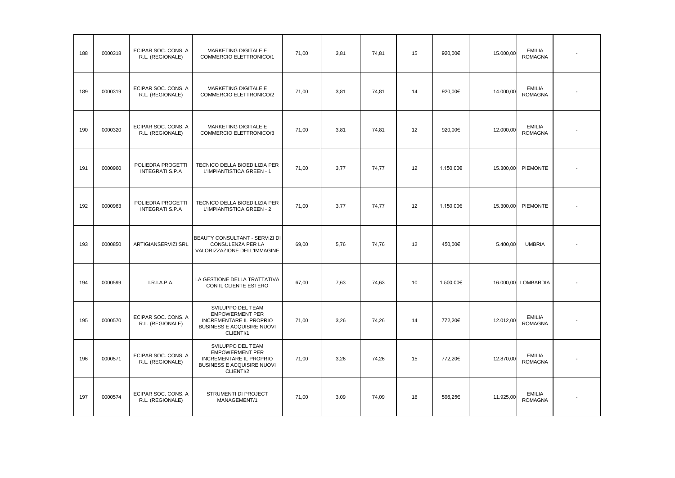| 188 | 0000318 | ECIPAR SOC. CONS. A<br>R.L. (REGIONALE)     | MARKETING DIGITALE E<br>COMMERCIO ELETTRONICO/1                                                                          | 71,00 | 3,81 | 74,81 | 15 | 920,00€   | 15.000,00 | <b>EMILIA</b><br><b>ROMAGNA</b> |  |
|-----|---------|---------------------------------------------|--------------------------------------------------------------------------------------------------------------------------|-------|------|-------|----|-----------|-----------|---------------------------------|--|
| 189 | 0000319 | ECIPAR SOC. CONS. A<br>R.L. (REGIONALE)     | MARKETING DIGITALE E<br>COMMERCIO ELETTRONICO/2                                                                          | 71,00 | 3,81 | 74,81 | 14 | 920.00€   | 14.000,00 | <b>EMILIA</b><br><b>ROMAGNA</b> |  |
| 190 | 0000320 | ECIPAR SOC. CONS. A<br>R.L. (REGIONALE)     | MARKETING DIGITALE E<br>COMMERCIO ELETTRONICO/3                                                                          | 71,00 | 3,81 | 74,81 | 12 | 920,00€   | 12.000,00 | <b>EMILIA</b><br><b>ROMAGNA</b> |  |
| 191 | 0000960 | POLIEDRA PROGETTI<br><b>INTEGRATI S.P.A</b> | TECNICO DELLA BIOEDILIZIA PER<br>L'IMPIANTISTICA GREEN - 1                                                               | 71,00 | 3,77 | 74,77 | 12 | 1.150,00€ | 15.300,00 | PIEMONTE                        |  |
| 192 | 0000963 | POLIEDRA PROGETTI<br><b>INTEGRATI S.P.A</b> | TECNICO DELLA BIOEDILIZIA PER<br>L'IMPIANTISTICA GREEN - 2                                                               | 71,00 | 3,77 | 74,77 | 12 | 1.150,00€ | 15.300,00 | PIEMONTE                        |  |
| 193 | 0000850 | ARTIGIANSERVIZI SRL                         | BEAUTY CONSULTANT - SERVIZI DI<br>CONSULENZA PER LA<br>VALORIZZAZIONE DELL'IMMAGINE                                      | 69,00 | 5,76 | 74,76 | 12 | 450,00€   | 5.400,00  | <b>UMBRIA</b>                   |  |
| 194 | 0000599 | I.R.I.A.P.A.                                | LA GESTIONE DELLA TRATTATIVA<br>CON IL CLIENTE ESTERO                                                                    | 67,00 | 7,63 | 74,63 | 10 | 1.500,00€ |           | 16.000,00 LOMBARDIA             |  |
| 195 | 0000570 | ECIPAR SOC. CONS. A<br>R.L. (REGIONALE)     | SVILUPPO DEL TEAM<br><b>EMPOWERMENT PER</b><br><b>INCREMENTARE IL PROPRIO</b><br>BUSINESS E ACQUISIRE NUOVI<br>CLIENTI/1 | 71,00 | 3,26 | 74,26 | 14 | 772,20€   | 12.012,00 | <b>EMILIA</b><br><b>ROMAGNA</b> |  |
| 196 | 0000571 | ECIPAR SOC. CONS. A<br>R.L. (REGIONALE)     | SVILUPPO DEL TEAM<br><b>EMPOWERMENT PER</b><br>INCREMENTARE IL PROPRIO<br>BUSINESS E ACQUISIRE NUOVI<br>CLIENTI/2        | 71,00 | 3,26 | 74,26 | 15 | 772,20€   | 12.870,00 | <b>EMILIA</b><br><b>ROMAGNA</b> |  |
| 197 | 0000574 | ECIPAR SOC. CONS. A<br>R.L. (REGIONALE)     | STRUMENTI DI PROJECT<br>MANAGEMENT/1                                                                                     | 71,00 | 3,09 | 74,09 | 18 | 596.25€   | 11.925,00 | <b>EMILIA</b><br><b>ROMAGNA</b> |  |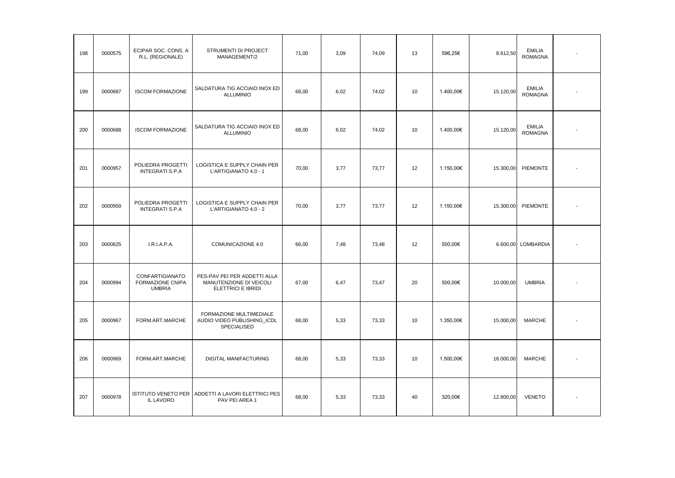| 198 | 0000575 | ECIPAR SOC. CONS. A<br>R.L. (REGIONALE)              | STRUMENTI DI PROJECT<br>MANAGEMENT/2                                          | 71,00 | 3,09 | 74,09 | 13 | 596,25€   | 8.612,50  | <b>EMILIA</b><br><b>ROMAGNA</b> |  |
|-----|---------|------------------------------------------------------|-------------------------------------------------------------------------------|-------|------|-------|----|-----------|-----------|---------------------------------|--|
| 199 | 0000687 | <b>ISCOM FORMAZIONE</b>                              | SALDATURA TIG ACCIAIO INOX ED<br><b>ALLUMINIO</b>                             | 68,00 | 6,02 | 74,02 | 10 | 1.400,00€ | 15.120,00 | <b>EMILIA</b><br><b>ROMAGNA</b> |  |
| 200 | 0000688 | <b>ISCOM FORMAZIONE</b>                              | SALDATURA TIG ACCIAIO INOX ED<br><b>ALLUMINIO</b>                             | 68,00 | 6,02 | 74,02 | 10 | 1.400,00€ | 15.120,00 | <b>EMILIA</b><br><b>ROMAGNA</b> |  |
| 201 | 0000957 | POLIEDRA PROGETTI<br><b>INTEGRATI S.P.A</b>          | LOGISTICA E SUPPLY CHAIN PER<br>L'ARTIGIANATO 4.0 - 1                         | 70,00 | 3,77 | 73,77 | 12 | 1.150,00€ | 15.300,00 | PIEMONTE                        |  |
| 202 | 0000959 | POLIEDRA PROGETTI<br><b>INTEGRATI S.P.A</b>          | LOGISTICA E SUPPLY CHAIN PER<br>L'ARTIGIANATO 4.0 - 2                         | 70,00 | 3,77 | 73,77 | 12 | 1.150,00€ | 15.300,00 | PIEMONTE                        |  |
| 203 | 0000625 | I.R.I.A.P.A.                                         | COMUNICAZIONE 4.0                                                             | 66,00 | 7,48 | 73,48 | 12 | 500,00€   |           | 6.600,00 LOMBARDIA              |  |
| 204 | 0000994 | CONFARTIGIANATO<br>FORMAZIONE CNIPA<br><b>UMBRIA</b> | PES-PAV PEI PER ADDETTI ALLA<br>MANUTENZIONE DI VEICOLI<br>ELETTRICI E IBRIDI | 67,00 | 6,47 | 73,47 | 20 | 500,00€   | 10.000,00 | <b>UMBRIA</b>                   |  |
| 205 | 0000967 | FORM.ART.MARCHE                                      | FORMAZIONE MULTIMEDIALE<br>AUDIO VIDEO PUBLISHING_ICDL<br>SPECIALISED         | 68,00 | 5,33 | 73,33 | 10 | 1.350,00€ | 15.000,00 | <b>MARCHE</b>                   |  |
| 206 | 0000969 | FORM.ART.MARCHE                                      | DIGITAL MANIFACTURING                                                         | 68,00 | 5,33 | 73,33 | 10 | 1.500,00€ | 16.000,00 | <b>MARCHE</b>                   |  |
| 207 | 0000978 | <b>IL LAVORO</b>                                     | ISTITUTO VENETO PER ADDETTI A LAVORI ELETTRICI PES<br>PAV PEI AREA 1          | 68,00 | 5,33 | 73,33 | 40 | 320,00€   | 12.800,00 | <b>VENETO</b>                   |  |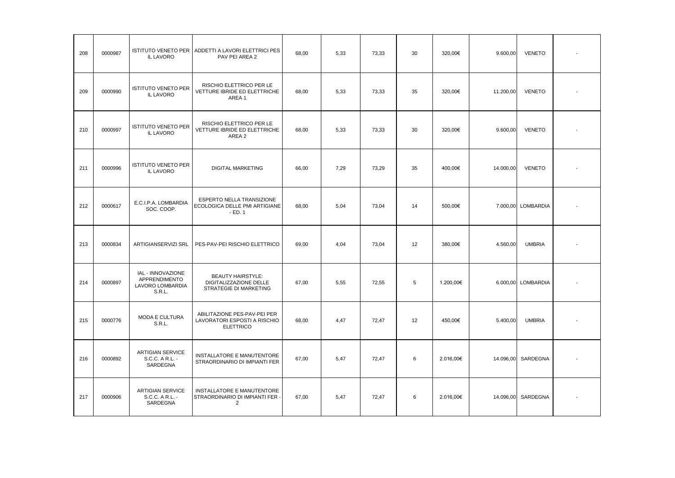| 208 | 0000987 | <b>IL LAVORO</b>                                                 | ISTITUTO VENETO PER ADDETTI A LAVORI ELETTRICI PES<br>PAV PEI AREA 2             | 68.00 | 5,33 | 73,33 | 30 | 320.00€   | 9.600,00  | <b>VENETO</b>      |  |
|-----|---------|------------------------------------------------------------------|----------------------------------------------------------------------------------|-------|------|-------|----|-----------|-----------|--------------------|--|
| 209 | 0000990 | <b>ISTITUTO VENETO PER</b><br>IL LAVORO                          | RISCHIO ELETTRICO PER LE<br>VETTURE IBRIDE ED ELETTRICHE<br>AREA1                | 68,00 | 5,33 | 73,33 | 35 | 320,00€   | 11.200,00 | <b>VENETO</b>      |  |
| 210 | 0000997 | <b>ISTITUTO VENETO PER</b><br>IL LAVORO                          | RISCHIO ELETTRICO PER LE<br>VETTURE IBRIDE ED ELETTRICHE<br>AREA 2               | 68,00 | 5,33 | 73,33 | 30 | 320,00€   | 9.600,00  | <b>VENETO</b>      |  |
| 211 | 0000996 | <b>ISTITUTO VENETO PER</b><br>IL LAVORO                          | <b>DIGITAL MARKETING</b>                                                         | 66,00 | 7,29 | 73,29 | 35 | 400,00€   | 14.000,00 | <b>VENETO</b>      |  |
| 212 | 0000617 | E.C.I.P.A. LOMBARDIA<br>SOC. COOP.                               | ESPERTO NELLA TRANSIZIONE<br>ECOLOGICA DELLE PMI ARTIGIANE<br>$-ED.1$            | 68,00 | 5,04 | 73,04 | 14 | 500,00€   |           | 7.000,00 LOMBARDIA |  |
| 213 | 0000834 | ARTIGIANSERVIZI SRL                                              | PES-PAV-PEI RISCHIO ELETTRICO                                                    | 69,00 | 4,04 | 73,04 | 12 | 380,00€   | 4.560,00  | <b>UMBRIA</b>      |  |
| 214 | 0000897 | IAL - INNOVAZIONE<br>APPRENDIMENTO<br>LAVORO LOMBARDIA<br>S.R.L. | <b>BEAUTY HAIRSTYLE:</b><br>DIGITALIZZAZIONE DELLE<br>STRATEGIE DI MARKETING     | 67,00 | 5,55 | 72,55 | 5  | 1.200,00€ |           | 6.000,00 LOMBARDIA |  |
| 215 | 0000776 | <b>MODA E CULTURA</b><br>S.R.L.                                  | ABILITAZIONE PES-PAV-PEI PER<br>LAVORATORI ESPOSTI A RISCHIO<br><b>ELETTRICO</b> | 68,00 | 4,47 | 72,47 | 12 | 450,00€   | 5.400,00  | <b>UMBRIA</b>      |  |
| 216 | 0000892 | <b>ARTIGIAN SERVICE</b><br>S.C.C. A R.L. -<br>SARDEGNA           | INSTALLATORE E MANUTENTORE<br>STRAORDINARIO DI IMPIANTI FER                      | 67,00 | 5,47 | 72,47 | 6  | 2.016,00€ |           | 14.096,00 SARDEGNA |  |
| 217 | 0000906 | <b>ARTIGIAN SERVICE</b><br>S.C.C. A R.L. -<br>SARDEGNA           | INSTALLATORE E MANUTENTORE<br>STRAORDINARIO DI IMPIANTI FER -<br>2               | 67,00 | 5,47 | 72,47 | 6  | 2.016,00€ |           | 14.096,00 SARDEGNA |  |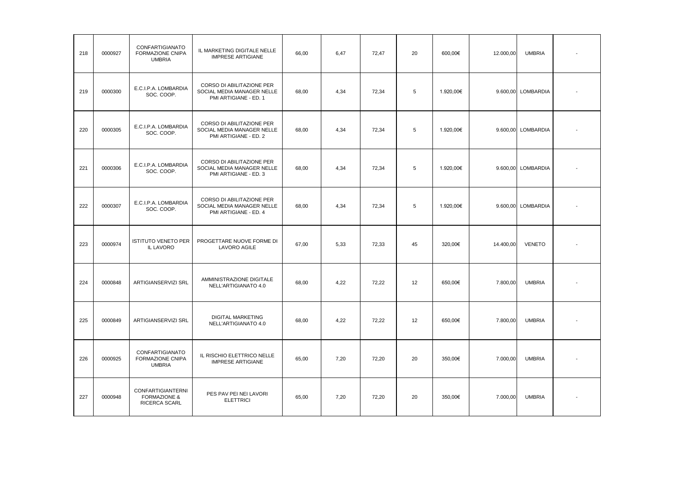| 218 | 0000927 | CONFARTIGIANATO<br><b>FORMAZIONE CNIPA</b><br><b>UMBRIA</b>          | IL MARKETING DIGITALE NELLE<br><b>IMPRESE ARTIGIANE</b>                          | 66.00 | 6,47 | 72,47 | 20 | 600,00€   | 12.000,00 | <b>UMBRIA</b>      |  |
|-----|---------|----------------------------------------------------------------------|----------------------------------------------------------------------------------|-------|------|-------|----|-----------|-----------|--------------------|--|
| 219 | 0000300 | E.C.I.P.A. LOMBARDIA<br>SOC. COOP.                                   | CORSO DI ABILITAZIONE PER<br>SOCIAL MEDIA MANAGER NELLE<br>PMI ARTIGIANE - ED. 1 | 68,00 | 4,34 | 72,34 | 5  | 1.920,00€ |           | 9.600,00 LOMBARDIA |  |
| 220 | 0000305 | E.C.I.P.A. LOMBARDIA<br>SOC. COOP.                                   | CORSO DI ABILITAZIONE PER<br>SOCIAL MEDIA MANAGER NELLE<br>PMI ARTIGIANE - ED. 2 | 68,00 | 4,34 | 72,34 | 5  | 1.920,00€ |           | 9.600,00 LOMBARDIA |  |
| 221 | 0000306 | E.C.I.P.A. LOMBARDIA<br>SOC. COOP.                                   | CORSO DI ABILITAZIONE PER<br>SOCIAL MEDIA MANAGER NELLE<br>PMI ARTIGIANE - ED. 3 | 68,00 | 4,34 | 72,34 | 5  | 1.920,00€ |           | 9.600,00 LOMBARDIA |  |
| 222 | 0000307 | E.C.I.P.A. LOMBARDIA<br>SOC. COOP.                                   | CORSO DI ABILITAZIONE PER<br>SOCIAL MEDIA MANAGER NELLE<br>PMI ARTIGIANE - ED. 4 | 68,00 | 4,34 | 72,34 | 5  | 1.920,00€ |           | 9.600,00 LOMBARDIA |  |
| 223 | 0000974 | <b>ISTITUTO VENETO PER</b><br>IL LAVORO                              | PROGETTARE NUOVE FORME DI<br><b>LAVORO AGILE</b>                                 | 67,00 | 5,33 | 72,33 | 45 | 320,00€   | 14.400,00 | <b>VENETO</b>      |  |
| 224 | 0000848 | ARTIGIANSERVIZI SRL                                                  | AMMINISTRAZIONE DIGITALE<br>NELL'ARTIGIANATO 4.0                                 | 68,00 | 4,22 | 72,22 | 12 | 650,00€   | 7.800,00  | <b>UMBRIA</b>      |  |
| 225 | 0000849 | ARTIGIANSERVIZI SRL                                                  | DIGITAL MARKETING<br>NELL'ARTIGIANATO 4.0                                        | 68,00 | 4,22 | 72,22 | 12 | 650,00€   | 7.800,00  | <b>UMBRIA</b>      |  |
| 226 | 0000925 | CONFARTIGIANATO<br><b>FORMAZIONE CNIPA</b><br><b>UMBRIA</b>          | IL RISCHIO ELETTRICO NELLE<br><b>IMPRESE ARTIGIANE</b>                           | 65,00 | 7,20 | 72,20 | 20 | 350,00€   | 7.000,00  | <b>UMBRIA</b>      |  |
| 227 | 0000948 | <b>CONFARTIGIANTERNI</b><br><b>FORMAZIONE &amp;</b><br>RICERCA SCARL | PES PAV PEI NEI LAVORI<br><b>ELETTRICI</b>                                       | 65,00 | 7,20 | 72,20 | 20 | 350,00€   | 7.000,00  | <b>UMBRIA</b>      |  |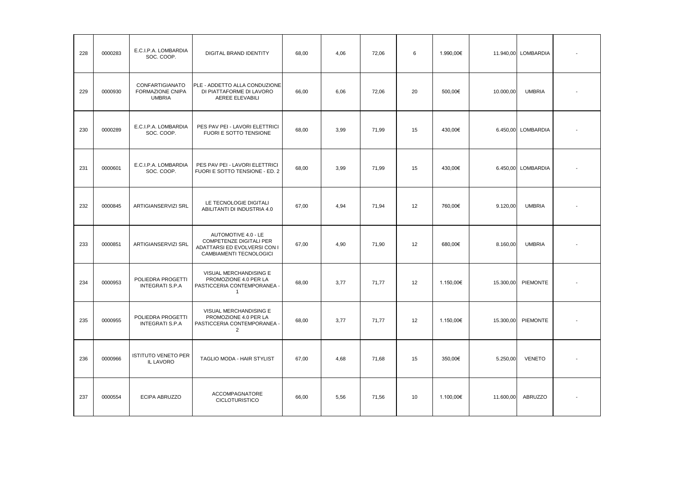| 228 | 0000283 | E.C.I.P.A. LOMBARDIA<br>SOC. COOP.                                 | <b>DIGITAL BRAND IDENTITY</b>                                                                             | 68.00 | 4,06 | 72,06 | 6  | 1.990,00€ |           | 11.940,00 LOMBARDIA |  |
|-----|---------|--------------------------------------------------------------------|-----------------------------------------------------------------------------------------------------------|-------|------|-------|----|-----------|-----------|---------------------|--|
| 229 | 0000930 | <b>CONFARTIGIANATO</b><br><b>FORMAZIONE CNIPA</b><br><b>UMBRIA</b> | PLE - ADDETTO ALLA CONDUZIONE<br>DI PIATTAFORME DI LAVORO<br>AEREE ELEVABILI                              | 66.00 | 6.06 | 72.06 | 20 | 500.00€   | 10.000,00 | <b>UMBRIA</b>       |  |
| 230 | 0000289 | E.C.I.P.A. LOMBARDIA<br>SOC. COOP.                                 | PES PAV PEI - LAVORI ELETTRICI<br>FUORI E SOTTO TENSIONE                                                  | 68.00 | 3.99 | 71,99 | 15 | 430.00€   | 6.450.00  | LOMBARDIA           |  |
| 231 | 0000601 | E.C.I.P.A. LOMBARDIA<br>SOC. COOP.                                 | PES PAV PEI - LAVORI ELETTRICI<br>FUORI E SOTTO TENSIONE - ED. 2                                          | 68,00 | 3,99 | 71,99 | 15 | 430,00€   |           | 6.450,00 LOMBARDIA  |  |
| 232 | 0000845 | ARTIGIANSERVIZI SRL                                                | LE TECNOLOGIE DIGITALI<br>ABILITANTI DI INDUSTRIA 4.0                                                     | 67,00 | 4,94 | 71,94 | 12 | 760,00€   | 9.120,00  | <b>UMBRIA</b>       |  |
| 233 | 0000851 | ARTIGIANSERVIZI SRL                                                | AUTOMOTIVE 4.0 - LE<br>COMPETENZE DIGITALI PER<br>ADATTARSI ED EVOLVERSI CON I<br>CAMBIAMENTI TECNOLOGICI | 67,00 | 4,90 | 71,90 | 12 | 680,00€   | 8.160,00  | <b>UMBRIA</b>       |  |
| 234 | 0000953 | POLIEDRA PROGETTI<br><b>INTEGRATI S.P.A</b>                        | VISUAL MERCHANDISING E<br>PROMOZIONE 4.0 PER LA<br>PASTICCERIA CONTEMPORANEA -<br>$\mathbf{1}$            | 68,00 | 3,77 | 71,77 | 12 | 1.150,00€ | 15.300,00 | PIEMONTE            |  |
| 235 | 0000955 | POLIEDRA PROGETTI<br><b>INTEGRATI S.P.A</b>                        | VISUAL MERCHANDISING E<br>PROMOZIONE 4.0 PER LA<br>PASTICCERIA CONTEMPORANEA -<br>$\overline{2}$          | 68,00 | 3,77 | 71,77 | 12 | 1.150,00€ | 15.300,00 | PIEMONTE            |  |
| 236 | 0000966 | <b>ISTITUTO VENETO PER</b><br><b>IL LAVORO</b>                     | TAGLIO MODA - HAIR STYLIST                                                                                | 67,00 | 4,68 | 71,68 | 15 | 350,00€   | 5.250,00  | <b>VENETO</b>       |  |
| 237 | 0000554 | ECIPA ABRUZZO                                                      | ACCOMPAGNATORE<br><b>CICLOTURISTICO</b>                                                                   | 66,00 | 5,56 | 71,56 | 10 | 1.100,00€ | 11.600,00 | <b>ABRUZZO</b>      |  |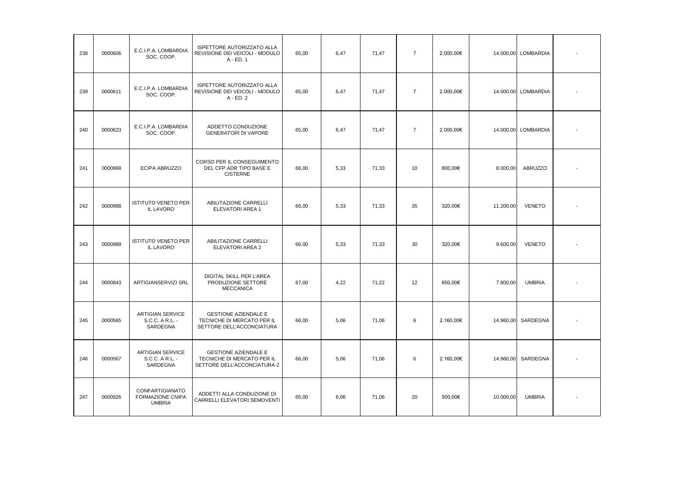| 238 | 0000606 | E.C.I.P.A. LOMBARDIA<br>SOC. COOP.                     | <b>ISPETTORE AUTORIZZATO ALLA</b><br>REVISIONE DEI VEICOLI - MODULO<br>A - ED. 1         | 65,00 | 6,47 | 71,47 | $\overline{7}$ | 2.000,00€ |           | 14.000,00 LOMBARDIA |  |
|-----|---------|--------------------------------------------------------|------------------------------------------------------------------------------------------|-------|------|-------|----------------|-----------|-----------|---------------------|--|
| 239 | 0000611 | E.C.I.P.A. LOMBARDIA<br>SOC. COOP.                     | <b>ISPETTORE AUTORIZZATO ALLA</b><br>REVISIONE DEI VEICOLI - MODULO<br>A - ED. 2         | 65,00 | 6,47 | 71,47 | $\overline{7}$ | 2.000,00€ |           | 14.000,00 LOMBARDIA |  |
| 240 | 0000623 | E.C.I.P.A. LOMBARDIA<br>SOC. COOP.                     | ADDETTO CONDUZIONE<br><b>GENERATORI DI VAPORE</b>                                        | 65,00 | 6,47 | 71,47 | $\overline{7}$ | 2.000,00€ |           | 14.000,00 LOMBARDIA |  |
| 241 | 0000868 | ECIPA ABRUZZO                                          | CORSO PER IL CONSEGUIMENTO<br>DEL CFP ADR TIPO BASE E<br><b>CISTERNE</b>                 | 66,00 | 5,33 | 71,33 | 10             | 800,00€   | 8.000,00  | <b>ABRUZZO</b>      |  |
| 242 | 0000988 | <b>ISTITUTO VENETO PER</b><br><b>IL LAVORO</b>         | ABILITAZIONE CARRELLI<br>ELEVATORI AREA 1                                                | 66,00 | 5,33 | 71,33 | 35             | 320,00€   | 11.200,00 | <b>VENETO</b>       |  |
| 243 | 0000989 | <b>ISTITUTO VENETO PER</b><br>IL LAVORO                | ABILITAZIONE CARRELLI<br>ELEVATORI AREA 2                                                | 66,00 | 5,33 | 71,33 | 30             | 320,00€   | 9.600,00  | <b>VENETO</b>       |  |
| 244 | 0000843 | ARTIGIANSERVIZI SRL                                    | DIGITAL SKILL PER L'AREA<br>PRODUZIONE SETTORE<br><b>MECCANICA</b>                       | 67,00 | 4,22 | 71,22 | 12             | 650,00€   | 7.800,00  | <b>UMBRIA</b>       |  |
| 245 | 0000565 | <b>ARTIGIAN SERVICE</b><br>S.C.C. A R.L. -<br>SARDEGNA | <b>GESTIONE AZIENDALE E</b><br>TECNICHE DI MERCATO PER IL<br>SETTORE DELL'ACCONCIATURA   | 66,00 | 5,06 | 71,06 | 6              | 2.160,00€ | 14.960,00 | SARDEGNA            |  |
| 246 | 0000567 | <b>ARTIGIAN SERVICE</b><br>S.C.C. A R.L. -<br>SARDEGNA | <b>GESTIONE AZIENDALE E</b><br>TECNICHE DI MERCATO PER IL<br>SETTORE DELL'ACCONCIATURA-2 | 66,00 | 5,06 | 71,06 | 6              | 2.160,00€ | 14.960,00 | SARDEGNA            |  |
| 247 | 0000926 | CONFARTIGIANATO<br>FORMAZIONE CNIPA<br><b>UMBRIA</b>   | ADDETTI ALLA CONDUZIONE DI<br>CARRELLI ELEVATORI SEMOVENTI                               | 65,00 | 6,06 | 71,06 | 20             | 500,00€   | 10.000,00 | <b>UMBRIA</b>       |  |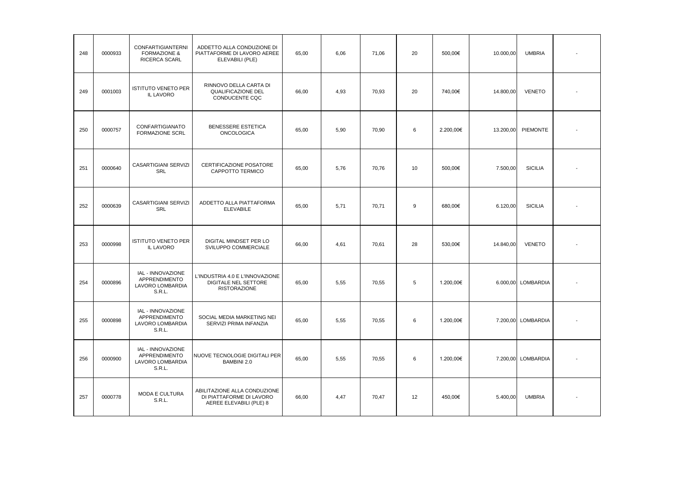| 248 | 0000933 | <b>CONFARTIGIANTERNI</b><br><b>FORMAZIONE &amp;</b><br>RICERCA SCARL    | ADDETTO ALLA CONDUZIONE DI<br>PIATTAFORME DI LAVORO AEREE<br>ELEVABILI (PLE)          | 65,00 | 6.06 | 71,06 | 20 | 500.00€   | 10.000,00 | <b>UMBRIA</b>      |  |
|-----|---------|-------------------------------------------------------------------------|---------------------------------------------------------------------------------------|-------|------|-------|----|-----------|-----------|--------------------|--|
| 249 | 0001003 | <b>ISTITUTO VENETO PER</b><br>IL LAVORO                                 | RINNOVO DELLA CARTA DI<br>QUALIFICAZIONE DEL<br>CONDUCENTE CQC                        | 66,00 | 4.93 | 70.93 | 20 | 740.00€   | 14.800,00 | <b>VENETO</b>      |  |
| 250 | 0000757 | CONFARTIGIANATO<br><b>FORMAZIONE SCRL</b>                               | BENESSERE ESTETICA<br><b>ONCOLOGICA</b>                                               | 65.00 | 5,90 | 70.90 | 6  | 2.200.00€ | 13.200.00 | <b>PIEMONTE</b>    |  |
| 251 | 0000640 | CASARTIGIANI SERVIZI<br>SRL                                             | CERTIFICAZIONE POSATORE<br>CAPPOTTO TERMICO                                           | 65.00 | 5.76 | 70.76 | 10 | 500.00€   | 7.500.00  | <b>SICILIA</b>     |  |
| 252 | 0000639 | CASARTIGIANI SERVIZI<br>SRL                                             | ADDETTO ALLA PIATTAFORMA<br><b>ELEVABILE</b>                                          | 65.00 | 5.71 | 70,71 | 9  | 680,00€   | 6.120,00  | <b>SICILIA</b>     |  |
| 253 | 0000998 | <b>ISTITUTO VENETO PER</b><br>IL LAVORO                                 | DIGITAL MINDSET PER LO<br>SVILUPPO COMMERCIALE                                        | 66.00 | 4.61 | 70.61 | 28 | 530.00€   | 14.840,00 | <b>VENETO</b>      |  |
| 254 | 0000896 | IAL - INNOVAZIONE<br>APPRENDIMENTO<br>LAVORO LOMBARDIA<br><b>S.R.L.</b> | L'INDUSTRIA 4.0 E L'INNOVAZIONE<br><b>DIGITALE NEL SETTORE</b><br><b>RISTORAZIONE</b> | 65,00 | 5.55 | 70.55 | 5  | 1.200.00€ | 6.000.00  | <b>LOMBARDIA</b>   |  |
| 255 | 0000898 | IAL - INNOVAZIONE<br>APPRENDIMENTO<br>LAVORO LOMBARDIA<br>S.R.L.        | SOCIAL MEDIA MARKETING NEI<br>SERVIZI PRIMA INFANZIA                                  | 65,00 | 5.55 | 70.55 | 6  | 1.200,00€ | 7.200,00  | LOMBARDIA          |  |
| 256 | 0000900 | IAL - INNOVAZIONE<br>APPRENDIMENTO<br>LAVORO LOMBARDIA<br>S.R.L.        | NUOVE TECNOLOGIE DIGITALI PER<br><b>BAMBINI 2.0</b>                                   | 65,00 | 5,55 | 70,55 | 6  | 1.200,00€ |           | 7.200,00 LOMBARDIA |  |
| 257 | 0000778 | MODA E CULTURA<br><b>S.R.L.</b>                                         | ABILITAZIONE ALLA CONDUZIONE<br>DI PIATTAFORME DI LAVORO<br>AEREE ELEVABILI (PLE) 8   | 66,00 | 4,47 | 70,47 | 12 | 450,00€   | 5.400,00  | <b>UMBRIA</b>      |  |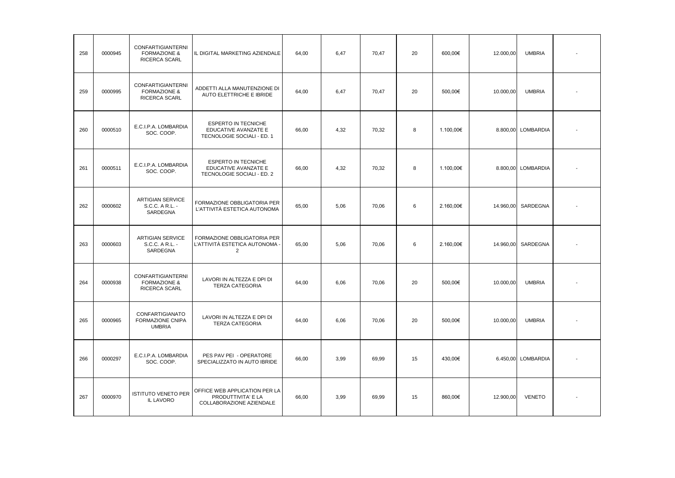| 258 | 0000945 | <b>CONFARTIGIANTERNI</b><br><b>FORMAZIONE &amp;</b><br>RICERCA SCARL | IL DIGITAL MARKETING AZIENDALE                                                   | 64,00 | 6,47 | 70,47 | 20 | 600,00€   | 12.000,00 | <b>UMBRIA</b>      |  |
|-----|---------|----------------------------------------------------------------------|----------------------------------------------------------------------------------|-------|------|-------|----|-----------|-----------|--------------------|--|
| 259 | 0000995 | CONFARTIGIANTERNI<br><b>FORMAZIONE &amp;</b><br>RICERCA SCARL        | ADDETTI ALLA MANUTENZIONE DI<br>AUTO ELETTRICHE E IBRIDE                         | 64,00 | 6,47 | 70,47 | 20 | 500,00€   | 10.000,00 | <b>UMBRIA</b>      |  |
| 260 | 0000510 | E.C.I.P.A. LOMBARDIA<br>SOC. COOP.                                   | <b>ESPERTO IN TECNICHE</b><br>EDUCATIVE AVANZATE E<br>TECNOLOGIE SOCIALI - ED. 1 | 66,00 | 4,32 | 70,32 | 8  | 1.100,00€ |           | 8.800,00 LOMBARDIA |  |
| 261 | 0000511 | E.C.I.P.A. LOMBARDIA<br>SOC. COOP.                                   | <b>ESPERTO IN TECNICHE</b><br>EDUCATIVE AVANZATE E<br>TECNOLOGIE SOCIALI - ED. 2 | 66,00 | 4,32 | 70,32 | 8  | 1.100,00€ |           | 8.800,00 LOMBARDIA |  |
| 262 | 0000602 | <b>ARTIGIAN SERVICE</b><br>S.C.C. A R.L. -<br>SARDEGNA               | FORMAZIONE OBBLIGATORIA PER<br>L'ATTIVITÀ ESTETICA AUTONOMA                      | 65,00 | 5,06 | 70,06 | 6  | 2.160,00€ | 14.960,00 | SARDEGNA           |  |
| 263 | 0000603 | <b>ARTIGIAN SERVICE</b><br>S.C.C. A R.L. -<br>SARDEGNA               | FORMAZIONE OBBLIGATORIA PER<br>L'ATTIVITÀ ESTETICA AUTONOMA -<br>$\overline{2}$  | 65,00 | 5,06 | 70,06 | 6  | 2.160,00€ | 14.960,00 | SARDEGNA           |  |
| 264 | 0000938 | CONFARTIGIANTERNI<br><b>FORMAZIONE &amp;</b><br>RICERCA SCARL        | LAVORI IN ALTEZZA E DPI DI<br><b>TERZA CATEGORIA</b>                             | 64,00 | 6,06 | 70,06 | 20 | 500,00€   | 10.000,00 | <b>UMBRIA</b>      |  |
| 265 | 0000965 | CONFARTIGIANATO<br>FORMAZIONE CNIPA<br><b>UMBRIA</b>                 | LAVORI IN ALTEZZA E DPI DI<br><b>TERZA CATEGORIA</b>                             | 64,00 | 6,06 | 70,06 | 20 | 500,00€   | 10.000,00 | <b>UMBRIA</b>      |  |
| 266 | 0000297 | E.C.I.P.A. LOMBARDIA<br>SOC. COOP.                                   | PES PAV PEI - OPERATORE<br>SPECIALIZZATO IN AUTO IBRIDE                          | 66,00 | 3,99 | 69,99 | 15 | 430,00€   |           | 6.450,00 LOMBARDIA |  |
| 267 | 0000970 | <b>ISTITUTO VENETO PER</b><br><b>IL LAVORO</b>                       | OFFICE WEB APPLICATION PER LA<br>PRODUTTIVITA' E LA<br>COLLABORAZIONE AZIENDALE  | 66,00 | 3,99 | 69,99 | 15 | 860,00€   | 12.900,00 | <b>VENETO</b>      |  |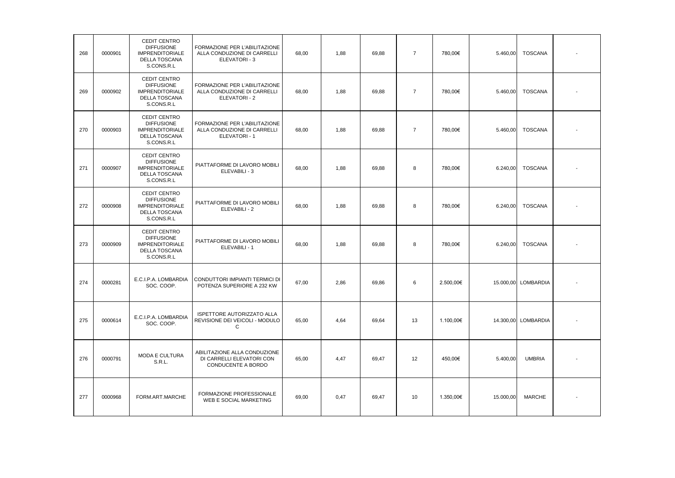| 268 | 0000901 | CEDIT CENTRO<br><b>DIFFUSIONE</b><br><b>IMPRENDITORIALE</b><br>DELLA TOSCANA<br>S.CONS.R.L        | FORMAZIONE PER L'ABILITAZIONE<br>ALLA CONDUZIONE DI CARRELLI<br>ELEVATORI - 3   | 68,00 | 1,88 | 69,88 | $\overline{7}$ | 780,00€   | 5.460,00  | <b>TOSCANA</b>      |  |
|-----|---------|---------------------------------------------------------------------------------------------------|---------------------------------------------------------------------------------|-------|------|-------|----------------|-----------|-----------|---------------------|--|
| 269 | 0000902 | CEDIT CENTRO<br><b>DIFFUSIONE</b><br><b>IMPRENDITORIALE</b><br>DELLA TOSCANA<br>S.CONS.R.L        | FORMAZIONE PER L'ABILITAZIONE<br>ALLA CONDUZIONE DI CARRELLI<br>ELEVATORI - 2   | 68,00 | 1,88 | 69,88 | $\overline{7}$ | 780,00€   | 5.460,00  | <b>TOSCANA</b>      |  |
| 270 | 0000903 | CEDIT CENTRO<br><b>DIFFUSIONE</b><br><b>IMPRENDITORIALE</b><br><b>DELLA TOSCANA</b><br>S.CONS.R.L | FORMAZIONE PER L'ABILITAZIONE<br>ALLA CONDUZIONE DI CARRELLI<br>ELEVATORI - 1   | 68,00 | 1,88 | 69,88 | $\overline{7}$ | 780,00€   | 5.460,00  | <b>TOSCANA</b>      |  |
| 271 | 0000907 | CEDIT CENTRO<br><b>DIFFUSIONE</b><br><b>IMPRENDITORIALE</b><br><b>DELLA TOSCANA</b><br>S.CONS.R.L | PIATTAFORME DI LAVORO MOBILI<br>ELEVABILI - 3                                   | 68,00 | 1,88 | 69,88 | 8              | 780.00€   | 6.240,00  | <b>TOSCANA</b>      |  |
| 272 | 0000908 | CEDIT CENTRO<br><b>DIFFUSIONE</b><br><b>IMPRENDITORIALE</b><br>DELLA TOSCANA<br>S.CONS.R.L        | PIATTAFORME DI LAVORO MOBILI<br>ELEVABILI - 2                                   | 68.00 | 1,88 | 69,88 | 8              | 780,00€   | 6.240,00  | TOSCANA             |  |
| 273 | 0000909 | CEDIT CENTRO<br><b>DIFFUSIONE</b><br><b>IMPRENDITORIALE</b><br>DELLA TOSCANA<br>S.CONS.R.L        | PIATTAFORME DI LAVORO MOBILI<br>ELEVABILI - 1                                   | 68,00 | 1,88 | 69,88 | 8              | 780,00€   | 6.240,00  | <b>TOSCANA</b>      |  |
| 274 | 0000281 | E.C.I.P.A. LOMBARDIA<br>SOC. COOP.                                                                | CONDUTTORI IMPIANTI TERMICI DI<br>POTENZA SUPERIORE A 232 KW                    | 67,00 | 2,86 | 69,86 | 6              | 2.500,00€ |           | 15.000,00 LOMBARDIA |  |
| 275 | 0000614 | E.C.I.P.A. LOMBARDIA<br>SOC. COOP.                                                                | ISPETTORE AUTORIZZATO ALLA<br>REVISIONE DEI VEICOLI - MODULO<br>C               | 65,00 | 4,64 | 69,64 | 13             | 1.100,00€ |           | 14.300,00 LOMBARDIA |  |
| 276 | 0000791 | MODA E CULTURA<br><b>S.R.L.</b>                                                                   | ABILITAZIONE ALLA CONDUZIONE<br>DI CARRELLI ELEVATORI CON<br>CONDUCENTE A BORDO | 65,00 | 4,47 | 69,47 | 12             | 450,00€   | 5.400,00  | <b>UMBRIA</b>       |  |
| 277 | 0000968 | FORM.ART.MARCHE                                                                                   | FORMAZIONE PROFESSIONALE<br>WEB E SOCIAL MARKETING                              | 69,00 | 0,47 | 69,47 | 10             | 1.350,00€ | 15.000,00 | <b>MARCHE</b>       |  |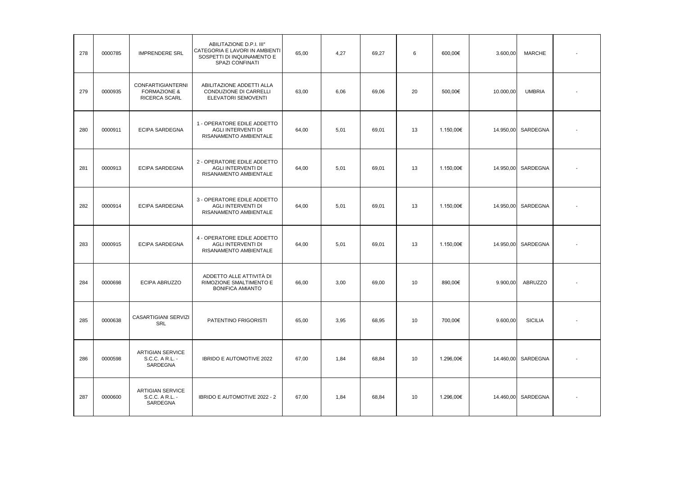| 278 | 0000785 | <b>IMPRENDERE SRL</b>                                         | ABILITAZIONE D.P.I. III°<br>CATEGORIA E LAVORI IN AMBIENTI<br>SOSPETTI DI INQUINAMENTO E<br>SPAZI CONFINATI | 65,00 | 4,27 | 69,27 | 6  | 600,00€   | 3.600,00  | <b>MARCHE</b>  |  |
|-----|---------|---------------------------------------------------------------|-------------------------------------------------------------------------------------------------------------|-------|------|-------|----|-----------|-----------|----------------|--|
| 279 | 0000935 | CONFARTIGIANTERNI<br><b>FORMAZIONE &amp;</b><br>RICERCA SCARL | ABILITAZIONE ADDETTI ALLA<br>CONDUZIONE DI CARRELLI<br>ELEVATORI SEMOVENTI                                  | 63,00 | 6,06 | 69,06 | 20 | 500,00€   | 10.000,00 | <b>UMBRIA</b>  |  |
| 280 | 0000911 | ECIPA SARDEGNA                                                | 1 - OPERATORE EDILE ADDETTO<br>AGLI INTERVENTI DI<br>RISANAMENTO AMBIENTALE                                 | 64,00 | 5,01 | 69,01 | 13 | 1.150,00€ | 14.950,00 | SARDEGNA       |  |
| 281 | 0000913 | ECIPA SARDEGNA                                                | 2 - OPERATORE EDILE ADDETTO<br>AGLI INTERVENTI DI<br>RISANAMENTO AMBIENTALE                                 | 64,00 | 5,01 | 69,01 | 13 | 1.150,00€ | 14.950,00 | SARDEGNA       |  |
| 282 | 0000914 | <b>ECIPA SARDEGNA</b>                                         | 3 - OPERATORE EDILE ADDETTO<br><b>AGLI INTERVENTI DI</b><br>RISANAMENTO AMBIENTALE                          | 64,00 | 5,01 | 69,01 | 13 | 1.150,00€ | 14.950,00 | SARDEGNA       |  |
| 283 | 0000915 | ECIPA SARDEGNA                                                | 4 - OPERATORE EDILE ADDETTO<br>AGLI INTERVENTI DI<br>RISANAMENTO AMBIENTALE                                 | 64,00 | 5,01 | 69.01 | 13 | 1.150,00€ | 14.950,00 | SARDEGNA       |  |
| 284 | 0000698 | ECIPA ABRUZZO                                                 | ADDETTO ALLE ATTIVITÀ DI<br>RIMOZIONE SMALTIMENTO E<br><b>BONIFICA AMIANTO</b>                              | 66,00 | 3,00 | 69,00 | 10 | 890,00€   | 9.900,00  | ABRUZZO        |  |
| 285 | 0000638 | <b>CASARTIGIANI SERVIZI</b><br><b>SRL</b>                     | PATENTINO FRIGORISTI                                                                                        | 65,00 | 3,95 | 68,95 | 10 | 700,00€   | 9.600,00  | <b>SICILIA</b> |  |
| 286 | 0000598 | <b>ARTIGIAN SERVICE</b><br>S.C.C. A R.L. -<br>SARDEGNA        | IBRIDO E AUTOMOTIVE 2022                                                                                    | 67,00 | 1,84 | 68,84 | 10 | 1.296,00€ | 14.460,00 | SARDEGNA       |  |
| 287 | 0000600 | <b>ARTIGIAN SERVICE</b><br>S.C.C. A R.L. -<br>SARDEGNA        | IBRIDO E AUTOMOTIVE 2022 - 2                                                                                | 67,00 | 1,84 | 68,84 | 10 | 1.296,00€ | 14.460,00 | SARDEGNA       |  |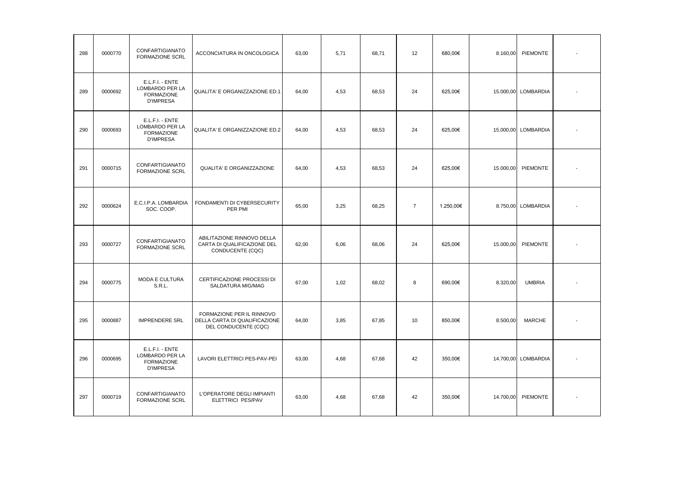| 288 | 0000770 | CONFARTIGIANATO<br><b>FORMAZIONE SCRL</b>                                   | ACCONCIATURA IN ONCOLOGICA                                                         | 63,00 | 5,71 | 68,71 | 12             | 680,00€   | 8.160,00  | PIEMONTE            |  |
|-----|---------|-----------------------------------------------------------------------------|------------------------------------------------------------------------------------|-------|------|-------|----------------|-----------|-----------|---------------------|--|
| 289 | 0000692 | E.L.F.I. - ENTE<br>LOMBARDO PER LA<br><b>FORMAZIONE</b><br><b>D'IMPRESA</b> | QUALITA' E ORGANIZZAZIONE ED.1                                                     | 64,00 | 4,53 | 68,53 | 24             | 625,00€   |           | 15.000,00 LOMBARDIA |  |
| 290 | 0000693 | E.L.F.I. - ENTE<br>LOMBARDO PER LA<br><b>FORMAZIONE</b><br><b>D'IMPRESA</b> | QUALITA' E ORGANIZZAZIONE ED.2                                                     | 64,00 | 4,53 | 68,53 | 24             | 625,00€   |           | 15.000,00 LOMBARDIA |  |
| 291 | 0000715 | CONFARTIGIANATO<br><b>FORMAZIONE SCRL</b>                                   | QUALITA' E ORGANIZZAZIONE                                                          | 64,00 | 4,53 | 68,53 | 24             | 625,00€   | 15.000,00 | PIEMONTE            |  |
| 292 | 0000624 | E.C.I.P.A. LOMBARDIA<br>SOC. COOP.                                          | FONDAMENTI DI CYBERSECURITY<br>PER PMI                                             | 65,00 | 3,25 | 68,25 | $\overline{7}$ | 1.250,00€ |           | 8.750,00 LOMBARDIA  |  |
| 293 | 0000727 | CONFARTIGIANATO<br>FORMAZIONE SCRL                                          | ABILITAZIONE RINNOVO DELLA<br>CARTA DI QUALIFICAZIONE DEL<br>CONDUCENTE (CQC)      | 62,00 | 6,06 | 68,06 | 24             | 625,00€   | 15.000,00 | PIEMONTE            |  |
| 294 | 0000775 | <b>MODA E CULTURA</b><br>S.R.L.                                             | CERTIFICAZIONE PROCESSI DI<br>SALDATURA MIG/MAG                                    | 67,00 | 1,02 | 68,02 | 8              | 690,00€   | 8.320,00  | <b>UMBRIA</b>       |  |
| 295 | 0000887 | <b>IMPRENDERE SRL</b>                                                       | FORMAZIONE PER IL RINNOVO<br>DELLA CARTA DI QUALIFICAZIONE<br>DEL CONDUCENTE (CQC) | 64,00 | 3,85 | 67,85 | 10             | 850,00€   | 8.500,00  | <b>MARCHE</b>       |  |
| 296 | 0000695 | E.L.F.I. - ENTE<br>LOMBARDO PER LA<br><b>FORMAZIONE</b><br><b>D'IMPRESA</b> | LAVORI ELETTRICI PES-PAV-PEI                                                       | 63,00 | 4,68 | 67,68 | 42             | 350,00€   |           | 14.700,00 LOMBARDIA |  |
| 297 | 0000719 | CONFARTIGIANATO<br><b>FORMAZIONE SCRL</b>                                   | L'OPERATORE DEGLI IMPIANTI<br>ELETTRICI PES/PAV                                    | 63,00 | 4,68 | 67,68 | 42             | 350,00€   | 14.700,00 | PIEMONTE            |  |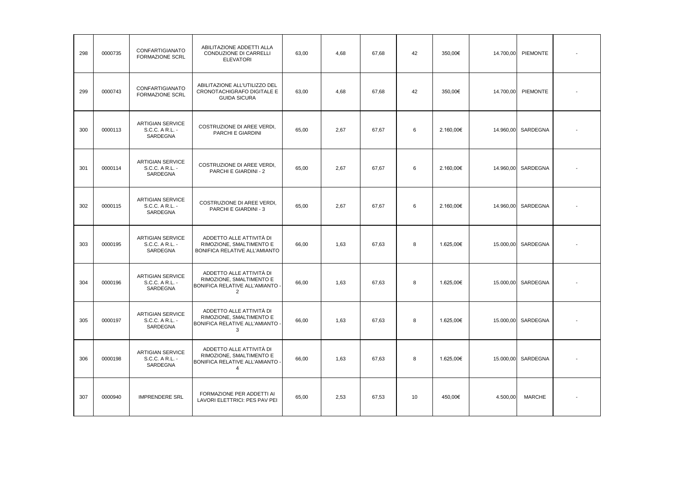| 298 | 0000735 | CONFARTIGIANATO<br><b>FORMAZIONE SCRL</b>              | ABILITAZIONE ADDETTI ALLA<br>CONDUZIONE DI CARRELLI<br><b>ELEVATORI</b>                                 | 63.00 | 4.68 | 67,68 | 42 | 350.00€   | 14.700,00 | <b>PIEMONTE</b> |  |
|-----|---------|--------------------------------------------------------|---------------------------------------------------------------------------------------------------------|-------|------|-------|----|-----------|-----------|-----------------|--|
| 299 | 0000743 | CONFARTIGIANATO<br><b>FORMAZIONE SCRL</b>              | ABILITAZIONE ALL'UTILIZZO DEL<br>CRONOTACHIGRAFO DIGITALE E<br><b>GUIDA SICURA</b>                      | 63,00 | 4,68 | 67,68 | 42 | 350,00€   | 14.700,00 | <b>PIEMONTE</b> |  |
| 300 | 0000113 | <b>ARTIGIAN SERVICE</b><br>S.C.C. A R.L. -<br>SARDEGNA | COSTRUZIONE DI AREE VERDI,<br>PARCHI E GIARDINI                                                         | 65,00 | 2,67 | 67,67 | 6  | 2.160,00€ | 14.960,00 | SARDEGNA        |  |
| 301 | 0000114 | <b>ARTIGIAN SERVICE</b><br>S.C.C. A R.L. -<br>SARDEGNA | COSTRUZIONE DI AREE VERDI,<br>PARCHI E GIARDINI - 2                                                     | 65,00 | 2,67 | 67,67 | 6  | 2.160,00€ | 14.960,00 | SARDEGNA        |  |
| 302 | 0000115 | <b>ARTIGIAN SERVICE</b><br>S.C.C. A R.L. -<br>SARDEGNA | COSTRUZIONE DI AREE VERDI,<br>PARCHI E GIARDINI - 3                                                     | 65,00 | 2,67 | 67,67 | 6  | 2.160,00€ | 14.960,00 | SARDEGNA        |  |
| 303 | 0000195 | <b>ARTIGIAN SERVICE</b><br>S.C.C. A R.L. -<br>SARDEGNA | ADDETTO ALLE ATTIVITÀ DI<br>RIMOZIONE, SMALTIMENTO E<br>BONIFICA RELATIVE ALL'AMIANTO                   | 66,00 | 1,63 | 67,63 | 8  | 1.625,00€ | 15.000,00 | SARDEGNA        |  |
| 304 | 0000196 | <b>ARTIGIAN SERVICE</b><br>S.C.C. A R.L. -<br>SARDEGNA | ADDETTO ALLE ATTIVITÀ DI<br>RIMOZIONE, SMALTIMENTO E<br>BONIFICA RELATIVE ALL'AMIANTO<br>$\overline{2}$ | 66,00 | 1,63 | 67,63 | 8  | 1.625,00€ | 15.000,00 | SARDEGNA        |  |
| 305 | 0000197 | <b>ARTIGIAN SERVICE</b><br>S.C.C. A R.L. -<br>SARDEGNA | ADDETTO ALLE ATTIVITÀ DI<br>RIMOZIONE, SMALTIMENTO E<br>BONIFICA RELATIVE ALL'AMIANTO<br>3              | 66,00 | 1,63 | 67,63 | 8  | 1.625,00€ | 15.000,00 | SARDEGNA        |  |
| 306 | 0000198 | <b>ARTIGIAN SERVICE</b><br>S.C.C. A R.L. -<br>SARDEGNA | ADDETTO ALLE ATTIVITÀ DI<br>RIMOZIONE, SMALTIMENTO E<br>BONIFICA RELATIVE ALL'AMIANTO<br>$\overline{4}$ | 66,00 | 1,63 | 67,63 | 8  | 1.625,00€ | 15.000,00 | SARDEGNA        |  |
| 307 | 0000940 | <b>IMPRENDERE SRL</b>                                  | FORMAZIONE PER ADDETTI AI<br>LAVORI ELETTRICI: PES PAV PEI                                              | 65,00 | 2,53 | 67,53 | 10 | 450,00€   | 4.500,00  | <b>MARCHE</b>   |  |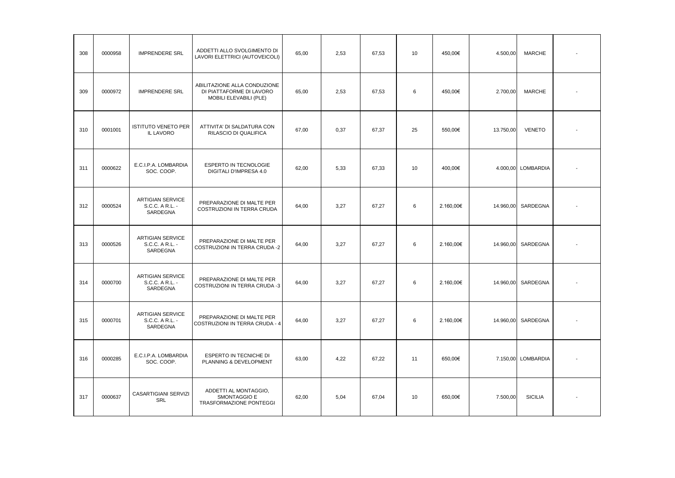| 308 | 0000958 | <b>IMPRENDERE SRL</b>                                  | ADDETTI ALLO SVOLGIMENTO DI<br>LAVORI ELETTRICI (AUTOVEICOLI)                      | 65,00 | 2,53 | 67,53 | 10 | 450.00€   | 4.500,00  | <b>MARCHE</b>      |  |
|-----|---------|--------------------------------------------------------|------------------------------------------------------------------------------------|-------|------|-------|----|-----------|-----------|--------------------|--|
| 309 | 0000972 | <b>IMPRENDERE SRL</b>                                  | ABILITAZIONE ALLA CONDUZIONE<br>DI PIATTAFORME DI LAVORO<br>MOBILI ELEVABILI (PLE) | 65,00 | 2,53 | 67,53 | 6  | 450.00€   | 2.700,00  | MARCHE             |  |
| 310 | 0001001 | <b>ISTITUTO VENETO PER</b><br>IL LAVORO                | ATTIVITA' DI SALDATURA CON<br>RILASCIO DI QUALIFICA                                | 67,00 | 0,37 | 67,37 | 25 | 550.00€   | 13.750,00 | <b>VENETO</b>      |  |
| 311 | 0000622 | E.C.I.P.A. LOMBARDIA<br>SOC. COOP.                     | ESPERTO IN TECNOLOGIE<br>DIGITALI D'IMPRESA 4.0                                    | 62,00 | 5,33 | 67,33 | 10 | 400.00€   |           | 4.000,00 LOMBARDIA |  |
| 312 | 0000524 | <b>ARTIGIAN SERVICE</b><br>S.C.C. A R.L. -<br>SARDEGNA | PREPARAZIONE DI MALTE PER<br>COSTRUZIONI IN TERRA CRUDA                            | 64,00 | 3,27 | 67,27 | 6  | 2.160,00€ |           | 14.960,00 SARDEGNA |  |
| 313 | 0000526 | <b>ARTIGIAN SERVICE</b><br>S.C.C. A R.L. -<br>SARDEGNA | PREPARAZIONE DI MALTE PER<br>COSTRUZIONI IN TERRA CRUDA -2                         | 64,00 | 3,27 | 67,27 | 6  | 2.160,00€ |           | 14.960,00 SARDEGNA |  |
| 314 | 0000700 | <b>ARTIGIAN SERVICE</b><br>S.C.C. A R.L. -<br>SARDEGNA | PREPARAZIONE DI MALTE PER<br>COSTRUZIONI IN TERRA CRUDA -3                         | 64,00 | 3,27 | 67,27 | 6  | 2.160,00€ |           | 14.960,00 SARDEGNA |  |
| 315 | 0000701 | <b>ARTIGIAN SERVICE</b><br>S.C.C. A R.L. -<br>SARDEGNA | PREPARAZIONE DI MALTE PER<br>COSTRUZIONI IN TERRA CRUDA - 4                        | 64,00 | 3,27 | 67,27 | 6  | 2.160,00€ |           | 14.960,00 SARDEGNA |  |
| 316 | 0000285 | E.C.I.P.A. LOMBARDIA<br>SOC. COOP.                     | ESPERTO IN TECNICHE DI<br>PLANNING & DEVELOPMENT                                   | 63,00 | 4.22 | 67.22 | 11 | 650.00€   |           | 7.150,00 LOMBARDIA |  |
| 317 | 0000637 | CASARTIGIANI SERVIZI<br>SRL                            | ADDETTI AL MONTAGGIO,<br><b>SMONTAGGIO E</b><br>TRASFORMAZIONE PONTEGGI            | 62,00 | 5.04 | 67.04 | 10 | 650.00€   | 7.500,00  | <b>SICILIA</b>     |  |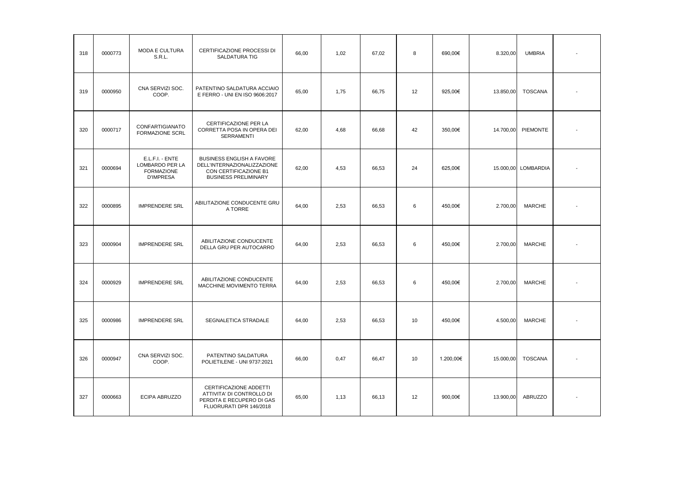| 318 | 0000773 | MODA E CULTURA<br>S.R.L.                                                    | CERTIFICAZIONE PROCESSI DI<br><b>SALDATURA TIG</b>                                                               | 66,00 | 1,02 | 67,02 | 8  | 690,00€   | 8.320,00  | <b>UMBRIA</b>       |  |
|-----|---------|-----------------------------------------------------------------------------|------------------------------------------------------------------------------------------------------------------|-------|------|-------|----|-----------|-----------|---------------------|--|
| 319 | 0000950 | CNA SERVIZI SOC.<br>COOP.                                                   | PATENTINO SALDATURA ACCIAIO<br>E FERRO - UNI EN ISO 9606:2017                                                    | 65,00 | 1,75 | 66,75 | 12 | 925,00€   | 13.850,00 | <b>TOSCANA</b>      |  |
| 320 | 0000717 | CONFARTIGIANATO<br>FORMAZIONE SCRL                                          | CERTIFICAZIONE PER LA<br>CORRETTA POSA IN OPERA DEI<br>SERRAMENTI                                                | 62,00 | 4,68 | 66,68 | 42 | 350,00€   | 14.700,00 | PIEMONTE            |  |
| 321 | 0000694 | E.L.F.I. - ENTE<br>LOMBARDO PER LA<br><b>FORMAZIONE</b><br><b>D'IMPRESA</b> | BUSINESS ENGLISH A FAVORE<br>DELL'INTERNAZIONALIZZAZIONE<br>CON CERTIFICAZIONE B1<br><b>BUSINESS PRELIMINARY</b> | 62,00 | 4,53 | 66,53 | 24 | 625,00€   |           | 15.000,00 LOMBARDIA |  |
| 322 | 0000895 | <b>IMPRENDERE SRL</b>                                                       | ABILITAZIONE CONDUCENTE GRU<br>A TORRE                                                                           | 64,00 | 2,53 | 66,53 | 6  | 450,00€   | 2.700,00  | <b>MARCHE</b>       |  |
| 323 | 0000904 | <b>IMPRENDERE SRL</b>                                                       | ABILITAZIONE CONDUCENTE<br>DELLA GRU PER AUTOCARRO                                                               | 64,00 | 2,53 | 66,53 | 6  | 450,00€   | 2.700,00  | <b>MARCHE</b>       |  |
| 324 | 0000929 | <b>IMPRENDERE SRL</b>                                                       | ABILITAZIONE CONDUCENTE<br>MACCHINE MOVIMENTO TERRA                                                              | 64,00 | 2,53 | 66,53 | 6  | 450,00€   | 2.700,00  | <b>MARCHE</b>       |  |
| 325 | 0000986 | <b>IMPRENDERE SRL</b>                                                       | SEGNALETICA STRADALE                                                                                             | 64,00 | 2,53 | 66,53 | 10 | 450,00€   | 4.500,00  | <b>MARCHE</b>       |  |
| 326 | 0000947 | CNA SERVIZI SOC.<br>COOP.                                                   | PATENTINO SALDATURA<br>POLIETILENE - UNI 9737:2021                                                               | 66,00 | 0,47 | 66,47 | 10 | 1.200,00€ | 15.000,00 | <b>TOSCANA</b>      |  |
| 327 | 0000663 | ECIPA ABRUZZO                                                               | CERTIFICAZIONE ADDETTI<br>ATTIVITA' DI CONTROLLO DI<br>PERDITA E RECUPERO DI GAS<br>FLUORURATI DPR 146/2018      | 65,00 | 1,13 | 66,13 | 12 | 900,00€   | 13.900,00 | ABRUZZO             |  |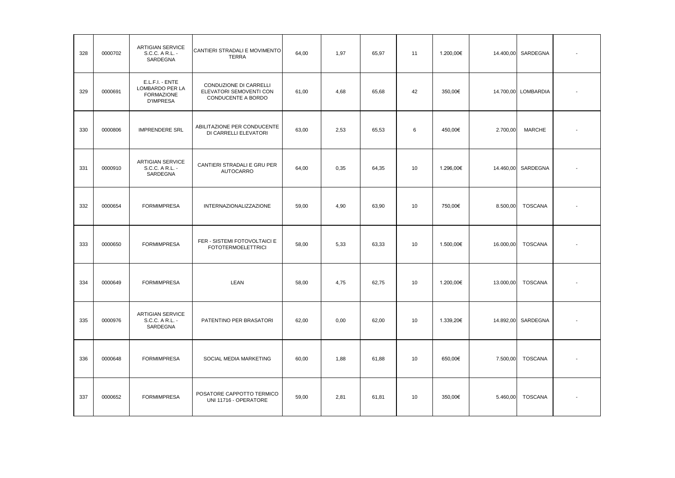| 328 | 0000702 | <b>ARTIGIAN SERVICE</b><br>S.C.C. A R.L. -<br>SARDEGNA                      | CANTIERI STRADALI E MOVIMENTO<br><b>TERRA</b>                                  | 64,00 | 1,97 | 65,97 | 11 | 1.200,00€ | 14.400,00 | SARDEGNA            |  |
|-----|---------|-----------------------------------------------------------------------------|--------------------------------------------------------------------------------|-------|------|-------|----|-----------|-----------|---------------------|--|
| 329 | 0000691 | E.L.F.I. - ENTE<br>LOMBARDO PER LA<br><b>FORMAZIONE</b><br><b>D'IMPRESA</b> | <b>CONDUZIONE DI CARRELLI</b><br>ELEVATORI SEMOVENTI CON<br>CONDUCENTE A BORDO | 61,00 | 4,68 | 65,68 | 42 | 350,00€   |           | 14.700,00 LOMBARDIA |  |
| 330 | 0000806 | <b>IMPRENDERE SRL</b>                                                       | ABILITAZIONE PER CONDUCENTE<br>DI CARRELLI ELEVATORI                           | 63,00 | 2,53 | 65,53 | 6  | 450,00€   | 2.700,00  | <b>MARCHE</b>       |  |
| 331 | 0000910 | ARTIGIAN SERVICE<br>S.C.C. A R.L. -<br>SARDEGNA                             | CANTIERI STRADALI E GRU PER<br><b>AUTOCARRO</b>                                | 64,00 | 0,35 | 64,35 | 10 | 1.296,00€ | 14.460,00 | SARDEGNA            |  |
| 332 | 0000654 | <b>FORMIMPRESA</b>                                                          | <b>INTERNAZIONALIZZAZIONE</b>                                                  | 59,00 | 4,90 | 63,90 | 10 | 750,00€   | 8.500,00  | <b>TOSCANA</b>      |  |
| 333 | 0000650 | <b>FORMIMPRESA</b>                                                          | FER - SISTEMI FOTOVOLTAICI E<br><b>FOTOTERMOELETTRICI</b>                      | 58,00 | 5,33 | 63,33 | 10 | 1.500,00€ | 16.000,00 | <b>TOSCANA</b>      |  |
| 334 | 0000649 | <b>FORMIMPRESA</b>                                                          | LEAN                                                                           | 58,00 | 4,75 | 62,75 | 10 | 1.200,00€ | 13.000,00 | <b>TOSCANA</b>      |  |
| 335 | 0000976 | <b>ARTIGIAN SERVICE</b><br>S.C.C. A R.L. -<br>SARDEGNA                      | PATENTINO PER BRASATORI                                                        | 62,00 | 0,00 | 62,00 | 10 | 1.339,20€ | 14.892,00 | SARDEGNA            |  |
| 336 | 0000648 | <b>FORMIMPRESA</b>                                                          | SOCIAL MEDIA MARKETING                                                         | 60,00 | 1,88 | 61,88 | 10 | 650,00€   | 7.500,00  | <b>TOSCANA</b>      |  |
| 337 | 0000652 | <b>FORMIMPRESA</b>                                                          | POSATORE CAPPOTTO TERMICO<br>UNI 11716 - OPERATORE                             | 59,00 | 2,81 | 61,81 | 10 | 350,00€   | 5.460,00  | <b>TOSCANA</b>      |  |